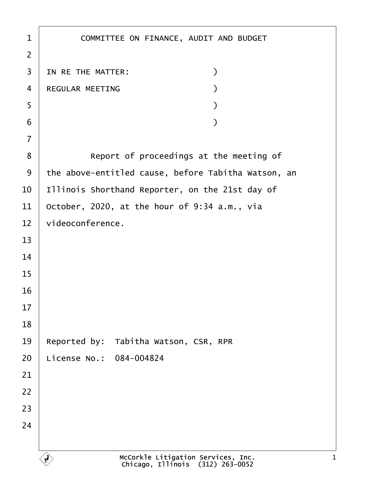| 1              | COMMITTEE ON FINANCE, AUDIT AND BUDGET              |
|----------------|-----------------------------------------------------|
| $\overline{2}$ |                                                     |
| 3              | IN RE THE MATTER:<br>)                              |
| $\overline{4}$ | REGULAR MEETING                                     |
| 5              |                                                     |
| 6              |                                                     |
| $\overline{7}$ |                                                     |
| 8              | Report of proceedings at the meeting of             |
| 9              | the above-entitled cause, before Tabitha Watson, an |
| 10             | Illinois Shorthand Reporter, on the 21st day of     |
| 11             | October, 2020, at the hour of 9:34 a.m., via        |
| 12             | videoconference.                                    |
| 13             |                                                     |
| 14             |                                                     |
| 15             |                                                     |
| 16             |                                                     |
| 17             |                                                     |
| 18             |                                                     |
| 19             | Reported by: Tabitha Watson, CSR, RPR               |
| 20             | License No.: 084-004824                             |
| 21             |                                                     |
| 22             |                                                     |
| 23             |                                                     |
| 24             |                                                     |
|                |                                                     |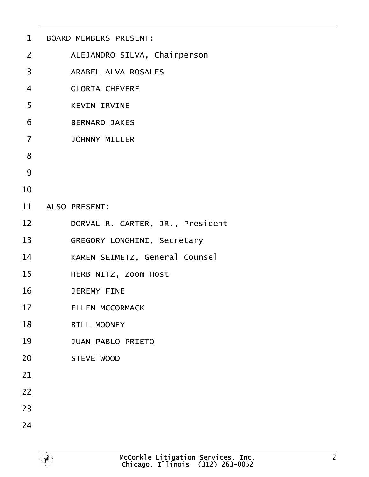| $\mathbf 1$    | <b>BOARD MEMBERS PRESENT:</b>         |
|----------------|---------------------------------------|
| $\overline{2}$ | ALEJANDRO SILVA, Chairperson          |
| 3              | <b>ARABEL ALVA ROSALES</b>            |
| $\overline{4}$ | <b>GLORIA CHEVERE</b>                 |
| 5              | <b>KEVIN IRVINE</b>                   |
| 6              | <b>BERNARD JAKES</b>                  |
| $\overline{7}$ | <b>JOHNNY MILLER</b>                  |
| 8              |                                       |
| 9              |                                       |
| 10             |                                       |
| 11             | <b>ALSO PRESENT:</b>                  |
| 12             | DORVAL R. CARTER, JR., President      |
| 13             | <b>GREGORY LONGHINI, Secretary</b>    |
| 14             | <b>KAREN SEIMETZ, General Counsel</b> |
| 15             | <b>HERB NITZ, Zoom Host</b>           |
| 16             | <b>JEREMY FINE</b>                    |
| 17             | <b>ELLEN MCCORMACK</b>                |
| 18             | <b>BILL MOONEY</b>                    |
| 19             | <b>JUAN PABLO PRIETO</b>              |
| 20             | <b>STEVE WOOD</b>                     |
| 21             |                                       |
| 22             |                                       |
| 23             |                                       |
| 24             |                                       |
|                |                                       |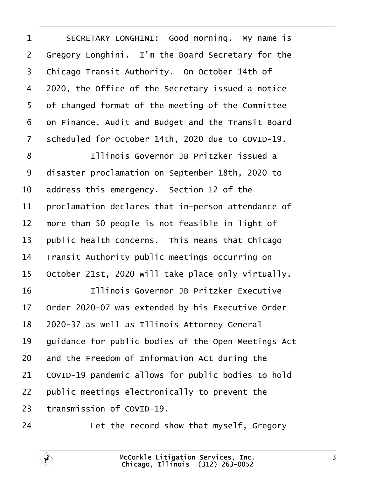<span id="page-2-0"></span>

| 1  | SECRETARY LONGHINI: Good morning. My name is        |
|----|-----------------------------------------------------|
| 2  | Gregory Longhini. I'm the Board Secretary for the   |
| 3  | Chicago Transit Authority. On October 14th of       |
| 4  | 2020, the Office of the Secretary issued a notice   |
| 5  | of changed format of the meeting of the Committee   |
| 6  | on Finance, Audit and Budget and the Transit Board  |
| 7  | scheduled for October 14th, 2020 due to COVID-19.   |
| 8  | Illinois Governor JB Pritzker issued a              |
| 9  | disaster proclamation on September 18th, 2020 to    |
| 10 | address this emergency. Section 12 of the           |
| 11 | proclamation declares that in-person attendance of  |
| 12 | more than 50 people is not feasible in light of     |
| 13 | public health concerns. This means that Chicago     |
| 14 | Transit Authority public meetings occurring on      |
| 15 | October 21st, 2020 will take place only virtually.  |
| 16 | Illinois Governor JB Pritzker Executive             |
| 17 | Order 2020-07 was extended by his Executive Order   |
| 18 | 2020-37 as well as Illinois Attorney General        |
| 19 | guidance for public bodies of the Open Meetings Act |
| 20 | and the Freedom of Information Act during the       |
| 21 | COVID-19 pandemic allows for public bodies to hold  |
| 22 | public meetings electronically to prevent the       |
| 23 | transmission of COVID-19.                           |
| 24 | Let the record show that myself, Gregory            |
|    |                                                     |

Г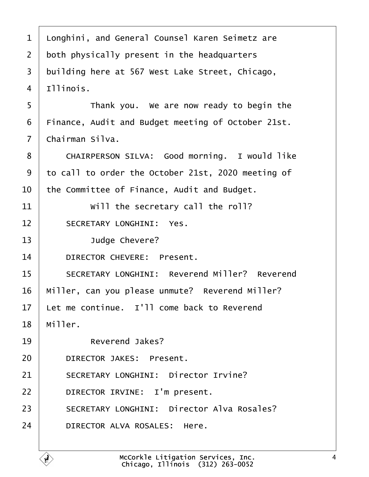<span id="page-3-0"></span>

| 1              | Longhini, and General Counsel Karen Seimetz are      |
|----------------|------------------------------------------------------|
| 2              | both physically present in the headquarters          |
| 3              | building here at 567 West Lake Street, Chicago,      |
| 4              | Illinois.                                            |
| 5              | Thank you. We are now ready to begin the             |
| 6              | Finance, Audit and Budget meeting of October 21st.   |
| $\overline{7}$ | Chairman Silva.                                      |
| 8              | CHAIRPERSON SILVA: Good morning. I would like        |
| 9              | to call to order the October 21st, 2020 meeting of   |
| 10             | the Committee of Finance, Audit and Budget.          |
| 11             | Will the secretary call the roll?                    |
| 12             | <b>SECRETARY LONGHINI: Yes.</b>                      |
| 13             | Judge Chevere?                                       |
| 14             | <b>DIRECTOR CHEVERE: Present.</b>                    |
| 15             | <b>SECRETARY LONGHINI: Reverend Miller? Reverend</b> |
| 16             | Miller, can you please unmute? Reverend Miller?      |
| 17             | Let me continue. I'll come back to Reverend          |
| 18             | Miller.                                              |
| 19             | Reverend Jakes?                                      |
| 20             | <b>DIRECTOR JAKES: Present.</b>                      |
| 21             | <b>SECRETARY LONGHINI: Director Irvine?</b>          |
| 22             | DIRECTOR IRVINE: I'm present.                        |
| 23             | <b>SECRETARY LONGHINI: Director Alva Rosales?</b>    |
| 24             | DIRECTOR ALVA ROSALES: Here.                         |
|                |                                                      |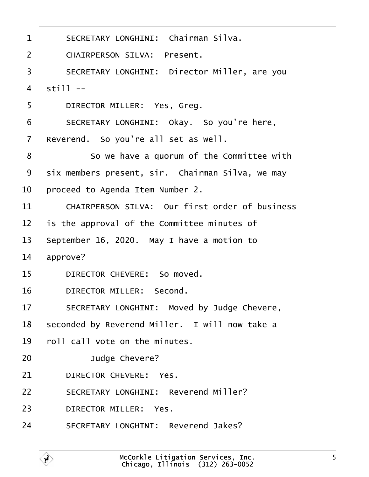<span id="page-4-0"></span>

| 1              | <b>SECRETARY LONGHINI: Chairman Silva.</b>            |
|----------------|-------------------------------------------------------|
| $\overline{2}$ | <b>CHAIRPERSON SILVA: Present.</b>                    |
| 3              | <b>SECRETARY LONGHINI: Director Miller, are you</b>   |
| $\overline{4}$ | still --                                              |
| 5              | DIRECTOR MILLER: Yes, Greg.                           |
| 6              | SECRETARY LONGHINI: Okay. So you're here,             |
| $\overline{7}$ | Reverend. So you're all set as well.                  |
| 8              | So we have a quorum of the Committee with             |
| 9              | six members present, sir. Chairman Silva, we may      |
| 10             | proceed to Agenda Item Number 2.                      |
| 11             | <b>CHAIRPERSON SILVA: Our first order of business</b> |
| 12             | is the approval of the Committee minutes of           |
| 13             | September 16, 2020. May I have a motion to            |
| 14             | approve?                                              |
| 15             | DIRECTOR CHEVERE: So moved.                           |
| 16             | DIRECTOR MILLER: Second.                              |
| 17             | SECRETARY LONGHINI: Moved by Judge Chevere,           |
| 18             | seconded by Reverend Miller. I will now take a        |
| 19             | foll call vote on the minutes.                        |
| 20             | Judge Chevere?                                        |
| 21             | DIRECTOR CHEVERE: Yes.                                |
| 22             | <b>SECRETARY LONGHINI: Reverend Miller?</b>           |
| 23             | <b>DIRECTOR MILLER: Yes.</b>                          |
| 24             | <b>SECRETARY LONGHINI: Reverend Jakes?</b>            |
|                |                                                       |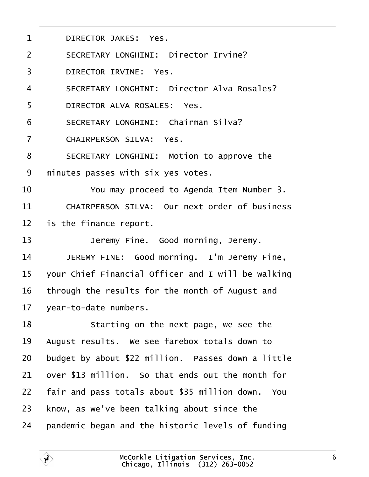<span id="page-5-0"></span>

| 1              | <b>DIRECTOR JAKES: Yes.</b>                          |
|----------------|------------------------------------------------------|
| $\overline{2}$ | <b>SECRETARY LONGHINI: Director Irvine?</b>          |
| 3              | <b>DIRECTOR IRVINE: Yes.</b>                         |
| 4              | <b>SECRETARY LONGHINI: Director Alva Rosales?</b>    |
| 5              | DIRECTOR ALVA ROSALES: Yes.                          |
| 6              | <b>SECRETARY LONGHINI: Chairman Silva?</b>           |
| $\overline{7}$ | <b>CHAIRPERSON SILVA: Yes.</b>                       |
| 8              | SECRETARY LONGHINI: Motion to approve the            |
| 9              | minutes passes with six yes votes.                   |
| 10             | You may proceed to Agenda Item Number 3.             |
| 11             | <b>CHAIRPERSON SILVA: Our next order of business</b> |
| 12             | is the finance report.                               |
| 13             | Jeremy Fine. Good morning, Jeremy.                   |
| 14             | JEREMY FINE: Good morning. I'm Jeremy Fine,          |
| 15             | your Chief Financial Officer and I will be walking   |
| 16             | through the results for the month of August and      |
| 17             | year-to-date numbers.                                |
| 18             | Starting on the next page, we see the                |
| 19             | August results. We see farebox totals down to        |
| 20             | budget by about \$22 million. Passes down a little   |
| 21             | over \$13 million. So that ends out the month for    |
| 22             | fair and pass totals about \$35 million down. You    |
| 23             | know, as we've been talking about since the          |
| 24             | pandemic began and the historic levels of funding    |
|                |                                                      |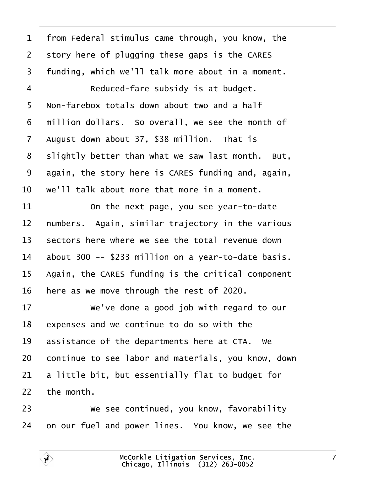<span id="page-6-0"></span>

| $\mathbf 1$    | from Federal stimulus came through, you know, the   |
|----------------|-----------------------------------------------------|
| $\overline{2}$ | story here of plugging these gaps is the CARES      |
| 3              | funding, which we'll talk more about in a moment.   |
| 4              | Reduced-fare subsidy is at budget.                  |
| 5              | Non-farebox totals down about two and a half        |
| 6              | million dollars. So overall, we see the month of    |
| $\overline{7}$ | August down about 37, \$38 million. That is         |
| 8              | slightly better than what we saw last month. But,   |
| 9              | again, the story here is CARES funding and, again,  |
| 10             | we'll talk about more that more in a moment.        |
| 11             | On the next page, you see year-to-date              |
| 12             | numbers. Again, similar trajectory in the various   |
| 13             | sectors here where we see the total revenue down    |
| 14             | about 300 -- \$233 million on a year-to-date basis. |
| 15             | Again, the CARES funding is the critical component  |
| 16             | here as we move through the rest of 2020.           |
| 17             | We've done a good job with regard to our            |
| 18             | expenses and we continue to do so with the          |
| 19             | assistance of the departments here at CTA. We       |
| 20             | continue to see labor and materials, you know, down |
| 21             | a little bit, but essentially flat to budget for    |
| 22             | the month.                                          |
| 23             | We see continued, you know, favorability            |
| 24             | on our fuel and power lines. You know, we see the   |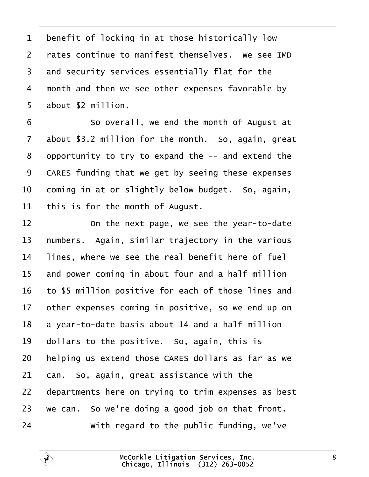<span id="page-7-0"></span>

| 1               | benefit of locking in at those historically low     |
|-----------------|-----------------------------------------------------|
| $\overline{2}$  | rates continue to manifest themselves. We see IMD   |
| 3               | and security services essentially flat for the      |
| 4               | month and then we see other expenses favorable by   |
| 5               | about \$2 million.                                  |
| 6               | So overall, we end the month of August at           |
| 7               | about \$3.2 million for the month. So, again, great |
| 8               | opportunity to try to expand the -- and extend the  |
| 9               | CARES funding that we get by seeing these expenses  |
| 10              | coming in at or slightly below budget. So, again,   |
| 11              | this is for the month of August.                    |
| 12              | On the next page, we see the year-to-date           |
| 13              | humbers. Again, similar trajectory in the various   |
| 14              | lines, where we see the real benefit here of fuel   |
| 15              | and power coming in about four and a half million   |
| 16              | to \$5 million positive for each of those lines and |
| 17 <sub>1</sub> | other expenses coming in positive, so we end up on  |
| 18              | a year-to-date basis about 14 and a half million    |
| 19              | dollars to the positive. So, again, this is         |
| 20              | helping us extend those CARES dollars as far as we  |
| 21              | can. So, again, great assistance with the           |
| 22              | departments here on trying to trim expenses as best |
| 23              | we can. So we're doing a good job on that front.    |
| 24              | With regard to the public funding, we've            |
|                 |                                                     |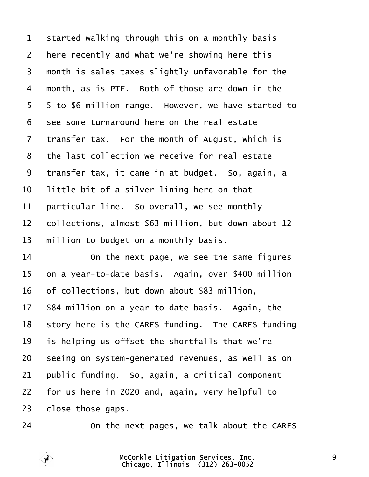<span id="page-8-0"></span>

| 1               | started walking through this on a monthly basis     |
|-----------------|-----------------------------------------------------|
| $\overline{2}$  | here recently and what we're showing here this      |
| 3               | month is sales taxes slightly unfavorable for the   |
| 4               | month, as is PTF. Both of those are down in the     |
| 5               | 5 to \$6 million range. However, we have started to |
| 6               | see some turnaround here on the real estate         |
| $\overline{7}$  | transfer tax. For the month of August, which is     |
| 8               | the last collection we receive for real estate      |
| 9               | transfer tax, it came in at budget. So, again, a    |
| 10              | little bit of a silver lining here on that          |
| 11              | particular line. So overall, we see monthly         |
| 12 <sub>2</sub> | collections, almost \$63 million, but down about 12 |
| 13              | million to budget on a monthly basis.               |
| 14              | On the next page, we see the same figures           |
| 15              | on a year-to-date basis. Again, over \$400 million  |
| 16              | of collections, but down about \$83 million,        |
| 17              | \$84 million on a year-to-date basis. Again, the    |
| 18              | story here is the CARES funding. The CARES funding  |
| 19              | is helping us offset the shortfalls that we're      |
| 20              | seeing on system-generated revenues, as well as on  |
| 21              | public funding. So, again, a critical component     |
| 22              | for us here in 2020 and, again, very helpful to     |
| 23              | close those gaps.                                   |
| 24              | On the next pages, we talk about the CARES          |
|                 |                                                     |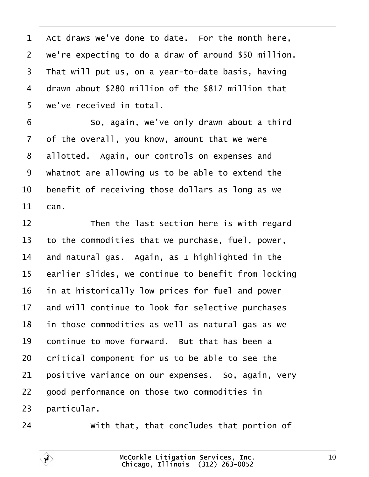<span id="page-9-0"></span>1 Act draws we've done to date. For the month here, 2 we're expecting to do a draw of around \$50 million.  $\overline{3}$  That will put us, on a year-to-date basis, having 4 drawn about \$280 million of the \$817 million that 5 we've received in total. 6 **8** So, again, we've only drawn about a third 7 of the overall, you know, amount that we were 8 allotted. Again, our controls on expenses and ·9· ·whatnot are allowing us to be able to extend the 10 benefit of receiving those dollars as long as we 11 $|$   $\tan$ .

12 **Then the last section here is with regard** 13 to the commodities that we purchase, fuel, power, 14 and natural gas. Again, as I highlighted in the 15 earlier slides, we continue to benefit from locking 16 in at historically low prices for fuel and power 17 and will continue to look for selective purchases 18 in those commodities as well as natural gas as we 19 continue to move forward. But that has been a 20 critical component for us to be able to see the 21 positive variance on our expenses. So, again, very 22 good performance on those two commodities in 23 barticular. 24 • With that, that concludes that portion of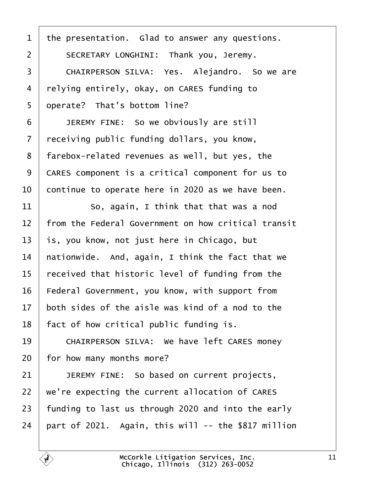<span id="page-10-0"></span>

| $\mathbf 1$    | the presentation. Glad to answer any questions.     |
|----------------|-----------------------------------------------------|
| $\overline{2}$ | SECRETARY LONGHINI: Thank you, Jeremy.              |
| 3              | CHAIRPERSON SILVA: Yes. Alejandro. So we are        |
| 4              | relying entirely, okay, on CARES funding to         |
| 5              | operate? That's bottom line?                        |
| 6              | JEREMY FINE: So we obviously are still              |
| $\overline{7}$ | receiving public funding dollars, you know,         |
| 8              | farebox-related revenues as well, but yes, the      |
| 9              | CARES component is a critical component for us to   |
| 10             | continue to operate here in 2020 as we have been.   |
| 11             | So, again, I think that that was a nod              |
| 12             | from the Federal Government on how critical transit |
| 13             | is, you know, not just here in Chicago, but         |
| 14             | hationwide. And, again, I think the fact that we    |
| 15             | received that historic level of funding from the    |
| 16             | Federal Government, you know, with support from     |
| 17             | both sides of the aisle was kind of a nod to the    |
| 18             | fact of how critical public funding is.             |
| 19             | CHAIRPERSON SILVA: We have left CARES money         |
| 20             | for how many months more?                           |
| 21             | JEREMY FINE: So based on current projects,          |
| 22             | we're expecting the current allocation of CARES     |
| 23             | funding to last us through 2020 and into the early  |
| 24             | part of 2021. Again, this will -- the \$817 million |
|                |                                                     |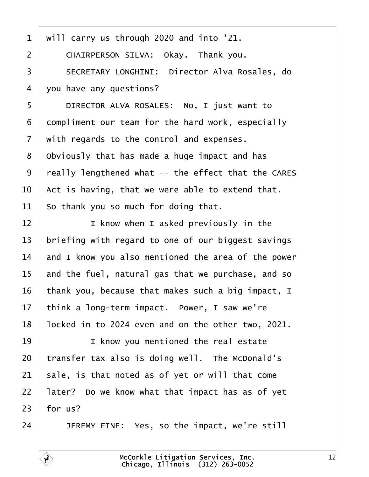- <span id="page-11-0"></span>·1· ·will carry us through 2020 and into '21.
- 2 | CHAIRPERSON SILVA: Okay. Thank you.
- 3 | SECRETARY LONGHINI: Director Alva Rosales, do
- 4 you have any questions?
- 5 | DIRECTOR ALVA ROSALES: No, I just want to
- 6 dompliment our team for the hard work, especially
- 7 with regards to the control and expenses.
- 8 Obviously that has made a huge impact and has
- 9 really lengthened what -- the effect that the CARES
- 10 Act is having, that we were able to extend that.
- 11 So thank you so much for doing that.
- 12 **I** I know when I asked previously in the
- 13 briefing with regard to one of our biggest savings
- 14 and I know you also mentioned the area of the power
- 15 and the fuel, natural gas that we purchase, and so
- 16 thank you, because that makes such a big impact, I
- 17 think a long-term impact. Power, I saw we're
- 18 locked in to 2024 even and on the other two, 2021.
- 19 | I know you mentioned the real estate
- 20 transfer tax also is doing well. The McDonald's
- 21 sale, is that noted as of yet or will that come
- 22 later? Do we know what that impact has as of yet
- $23$  for us?
- $24$  | JEREMY FINE: Yes, so the impact, we're still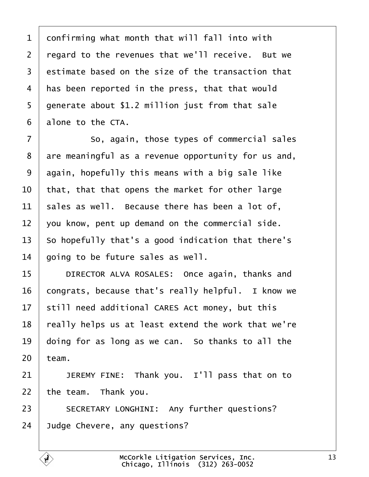<span id="page-12-0"></span>1 donfirming what month that will fall into with 2 regard to the revenues that we'll receive. But we 3 estimate based on the size of the transaction that 4 has been reported in the press, that that would 5 generate about \$1.2 million just from that sale 6 alone to the CTA. 7 **8** So, again, those types of commercial sales 8 are meaningful as a revenue opportunity for us and, 9 digain, hopefully this means with a big sale like 10 that, that that opens the market for other large 11 sales as well. Because there has been a lot of, 12 vou know, pent up demand on the commercial side. 13 So hopefully that's a good indication that there's 14 going to be future sales as well. 15 | DIRECTOR ALVA ROSALES: Once again, thanks and 16 congrats, because that's really helpful. I know we 17 still need additional CARES Act money, but this 18 really helps us at least extend the work that we're 19 doing for as long as we can. So thanks to all the  $20$  team. 21  $\parallel$  JEREMY FINE: Thank you. I'll pass that on to 22 the team. Thank you. 23 | SECRETARY LONGHINI: Any further questions? 24 Judge Chevere, any questions?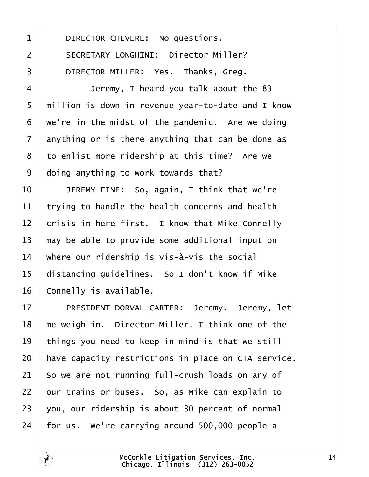<span id="page-13-0"></span>

| 1              | DIRECTOR CHEVERE: No questions.                     |
|----------------|-----------------------------------------------------|
| $\overline{2}$ | <b>SECRETARY LONGHINI: Director Miller?</b>         |
| 3              | DIRECTOR MILLER: Yes. Thanks, Greg.                 |
| 4              | Jeremy, I heard you talk about the 83               |
| 5              | million is down in revenue year-to-date and I know  |
| 6              | we're in the midst of the pandemic. Are we doing    |
| $\overline{7}$ | anything or is there anything that can be done as   |
| 8              | to enlist more ridership at this time? Are we       |
| 9              | doing anything to work towards that?                |
| 10             | JEREMY FINE: So, again, I think that we're          |
| 11             | trying to handle the health concerns and health     |
| 12             | crisis in here first. I know that Mike Connelly     |
| 13             | may be able to provide some additional input on     |
| 14             | where our ridership is vis-à-vis the social         |
| 15             | distancing guidelines. So I don't know if Mike      |
| 16             | Connelly is available.                              |
| 17             | PRESIDENT DORVAL CARTER: Jeremy. Jeremy, let        |
| 18             | me weigh in. Director Miller, I think one of the    |
| 19             | things you need to keep in mind is that we still    |
| 20             | have capacity restrictions in place on CTA service. |
| 21             | So we are not running full-crush loads on any of    |
| 22             | our trains or buses. So, as Mike can explain to     |
| 23             | you, our ridership is about 30 percent of normal    |
| 24             | for us. We're carrying around 500,000 people a      |
|                |                                                     |

Г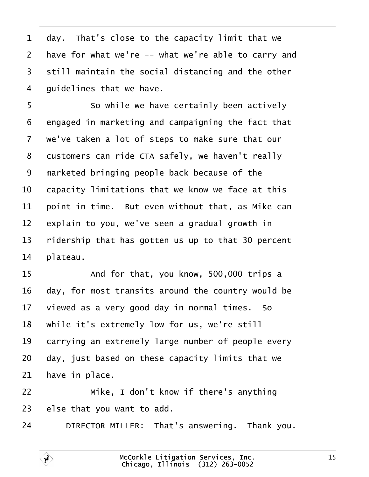<span id="page-14-0"></span>

| 1              | day. That's close to the capacity limit that we     |
|----------------|-----------------------------------------------------|
| $\overline{2}$ | have for what we're -- what we're able to carry and |
| 3              | still maintain the social distancing and the other  |
| 4              | guidelines that we have.                            |
| 5              | So while we have certainly been actively            |
| 6              | engaged in marketing and campaigning the fact that  |
| 7              | we've taken a lot of steps to make sure that our    |
| 8              | dustomers can ride CTA safely, we haven't really    |
| 9              | marketed bringing people back because of the        |
| 10             | capacity limitations that we know we face at this   |
| 11             | point in time. But even without that, as Mike can   |
| 12             | explain to you, we've seen a gradual growth in      |
| 13             | ridership that has gotten us up to that 30 percent  |
| 14             | plateau.                                            |
| 15             | And for that, you know, 500,000 trips a             |
| 16             | day, for most transits around the country would be  |
| 17             | viewed as a very good day in normal times. So       |
| 18             | while it's extremely low for us, we're still        |
| 19             | carrying an extremely large number of people every  |
| 20             | day, just based on these capacity limits that we    |
| 21             | have in place.                                      |
| 22             | Mike, I don't know if there's anything              |
| 23             | else that you want to add.                          |
| 24             | DIRECTOR MILLER: That's answering. Thank you.       |
|                |                                                     |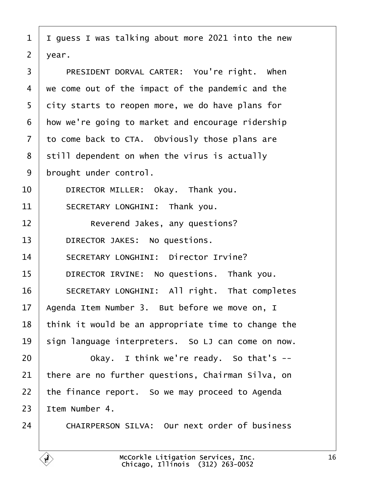<span id="page-15-0"></span>

| 1              | I guess I was talking about more 2021 into the new   |
|----------------|------------------------------------------------------|
| $\overline{2}$ | year.                                                |
| 3              | PRESIDENT DORVAL CARTER: You're right. When          |
| 4              | we come out of the impact of the pandemic and the    |
| 5              | dity starts to reopen more, we do have plans for     |
| 6              | How we're going to market and encourage ridership    |
| $\overline{7}$ | to come back to CTA. Obviously those plans are       |
| 8              | still dependent on when the virus is actually        |
| 9              | brought under control.                               |
| 10             | DIRECTOR MILLER: Okay. Thank you.                    |
| 11             | SECRETARY LONGHINI: Thank you.                       |
| 12             | Reverend Jakes, any questions?                       |
| 13             | DIRECTOR JAKES: No questions.                        |
| 14             | <b>SECRETARY LONGHINI: Director Irvine?</b>          |
| 15             | DIRECTOR IRVINE: No questions. Thank you.            |
| 16             | SECRETARY LONGHINI: All right. That completes        |
| 17             | Agenda Item Number 3. But before we move on, I       |
| 18             | think it would be an appropriate time to change the  |
| 19             | sign language interpreters. So LJ can come on now.   |
| 20             | Okay. I think we're ready. So that's --              |
| 21             | there are no further questions, Chairman Silva, on   |
| 22             | the finance report. So we may proceed to Agenda      |
| 23             | ltem Number 4.                                       |
| 24             | <b>CHAIRPERSON SILVA: Our next order of business</b> |
|                |                                                      |

 $\sqrt{ }$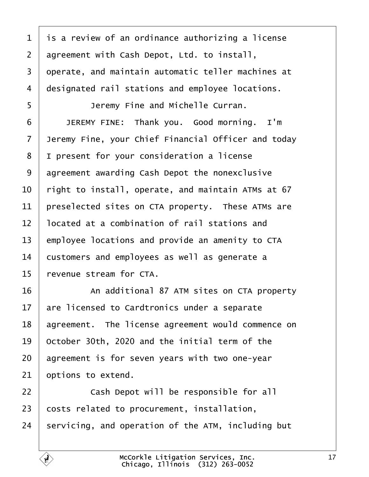<span id="page-16-0"></span>

| $\mathbf 1$     | is a review of an ordinance authorizing a license   |
|-----------------|-----------------------------------------------------|
| $\overline{2}$  | agreement with Cash Depot, Ltd. to install,         |
| 3               | operate, and maintain automatic teller machines at  |
| 4               | designated rail stations and employee locations.    |
| 5               | Jeremy Fine and Michelle Curran.                    |
| 6               | JEREMY FINE: Thank you. Good morning. I'm           |
| 7               | Jeremy Fine, your Chief Financial Officer and today |
| 8               | I present for your consideration a license          |
| 9               | agreement awarding Cash Depot the nonexclusive      |
| 10              | right to install, operate, and maintain ATMs at 67  |
| 11              | preselected sites on CTA property. These ATMs are   |
| 12              | located at a combination of rail stations and       |
| 13              | employee locations and provide an amenity to CTA    |
| 14              | customers and employees as well as generate a       |
| 15              | revenue stream for CTA.                             |
| 16              | An additional 87 ATM sites on CTA property          |
| 17 <sup>1</sup> | are licensed to Cardtronics under a separate        |
| 18              | agreement. The license agreement would commence on  |
| 19              | October 30th, 2020 and the initial term of the      |
| 20              | agreement is for seven years with two one-year      |
| 21              | options to extend.                                  |
| 22              | Cash Depot will be responsible for all              |
| 23              | costs related to procurement, installation,         |
| 24              | servicing, and operation of the ATM, including but  |
|                 |                                                     |

Г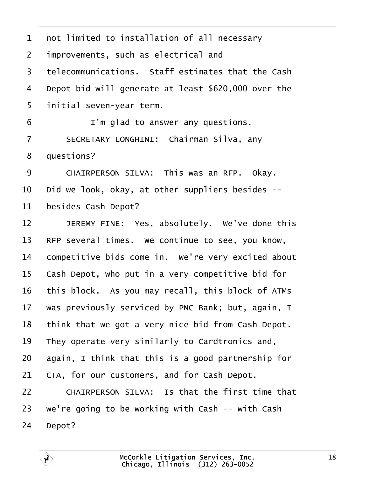- <span id="page-17-0"></span>1 not limited to installation of all necessary
- 2 *i*mprovements, such as electrical and
- 3 telecommunications. Staff estimates that the Cash
- 4 Depot bid will generate at least \$620,000 over the
- 5 initial seven-year term.
- $6 \mid$  I'm glad to answer any questions.
- 7 | SECRETARY LONGHINI: Chairman Silva, any
- 8 duestions?
- 9 CHAIRPERSON SILVA: This was an RFP. Okay.
- 10 Did we look, okay, at other suppliers besides --
- 11 besides Cash Depot?
- 12 | JEREMY FINE: Yes, absolutely. We've done this
- 13 RFP several times. We continue to see, you know,
- 14 competitive bids come in. We're very excited about
- 15 Cash Depot, who put in a very competitive bid for
- 16 this block. As you may recall, this block of ATMs
- 17 was previously serviced by PNC Bank; but, again, I
- 18 think that we got a very nice bid from Cash Depot.
- 19 They operate very similarly to Cardtronics and,
- 20 again, I think that this is a good partnership for
- 21 CTA, for our customers, and for Cash Depot.
- 22 | CHAIRPERSON SILVA: Is that the first time that
- 23 we're going to be working with Cash -- with Cash
- 24 Depot?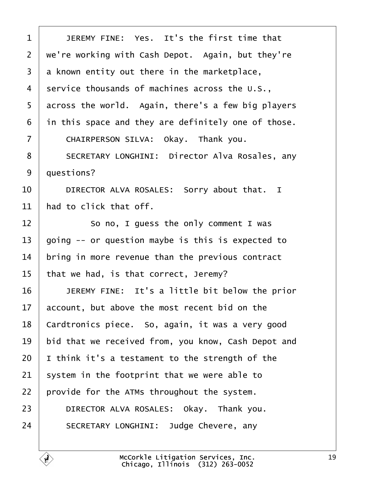<span id="page-18-0"></span>

| 1              | JEREMY FINE: Yes. It's the first time that            |
|----------------|-------------------------------------------------------|
| 2              | we're working with Cash Depot. Again, but they're     |
| 3              | a known entity out there in the marketplace,          |
| 4              | service thousands of machines across the U.S.,        |
| 5              | across the world. Again, there's a few big players    |
| 6              | in this space and they are definitely one of those.   |
| $\overline{7}$ | CHAIRPERSON SILVA: Okay. Thank you.                   |
| 8              | <b>SECRETARY LONGHINI: Director Alva Rosales, any</b> |
| 9              | questions?                                            |
| 10             | DIRECTOR ALVA ROSALES: Sorry about that. I            |
| 11             | had to click that off.                                |
| 12             | So no, I guess the only comment I was                 |
| 13             | going -- or question maybe is this is expected to     |
| 14             | bring in more revenue than the previous contract      |
| 15             | that we had, is that correct, Jeremy?                 |
| 16             | JEREMY FINE: It's a little bit below the prior        |
| 17             | account, but above the most recent bid on the         |
| 18             | Cardtronics piece. So, again, it was a very good      |
| 19             | bid that we received from, you know, Cash Depot and   |
| 20             | think it's a testament to the strength of the         |
| 21             | system in the footprint that we were able to          |
| 22             | provide for the ATMs throughout the system.           |
| 23             | DIRECTOR ALVA ROSALES: Okay. Thank you.               |
| 24             | SECRETARY LONGHINI: Judge Chevere, any                |
|                |                                                       |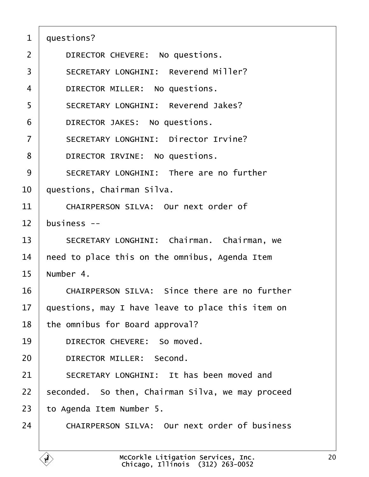<span id="page-19-0"></span>

| questions? |  |
|------------|--|
|------------|--|

- 2 | DIRECTOR CHEVERE: No questions.
- 3 **SECRETARY LONGHINI: Reverend Miller?**
- 4 | DIRECTOR MILLER: No questions.
- 5 | SECRETARY LONGHINI: Reverend Jakes?
- 6 | DIRECTOR JAKES: No questions.
- 7 | SECRETARY LONGHINI: Director Irvine?
- 8 | DIRECTOR IRVINE: No questions.
- 9 | SECRETARY LONGHINI: There are no further
- 10 duestions, Chairman Silva.
- 11 CHAIRPERSON SILVA: Our next order of
- 12 business --
- 13 | SECRETARY LONGHINI: Chairman. Chairman, we
- 14 heed to place this on the omnibus, Agenda Item
- 15 Number 4.
- 16 CHAIRPERSON SILVA: Since there are no further
- 17 guestions, may I have leave to place this item on
- 18 the omnibus for Board approval?
- 19 | DIRECTOR CHEVERE: So moved.
- 20 | DIRECTOR MILLER: Second.
- 21 SECRETARY LONGHINI: It has been moved and
- 22 seconded. So then, Chairman Silva, we may proceed
- 23 to Agenda Item Number 5.
- 24 CHAIRPERSON SILVA: Our next order of business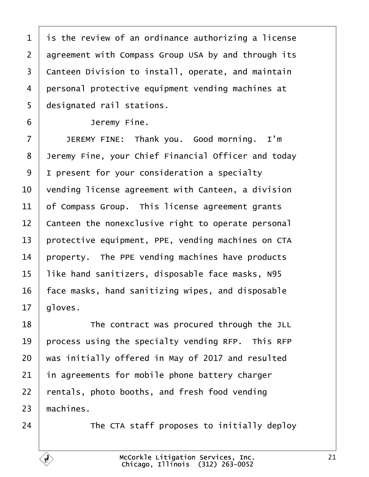<span id="page-20-0"></span>

| $\mathbf 1$    | is the review of an ordinance authorizing a license |
|----------------|-----------------------------------------------------|
| $\overline{2}$ | agreement with Compass Group USA by and through its |
| 3              | Canteen Division to install, operate, and maintain  |
| 4              | personal protective equipment vending machines at   |
| 5              | designated rail stations.                           |
| 6              | Jeremy Fine.                                        |
| $\overline{7}$ | JEREMY FINE: Thank you. Good morning. I'm           |
| 8              | Jeremy Fine, your Chief Financial Officer and today |
| 9              | I present for your consideration a specialty        |
| 10             | vending license agreement with Canteen, a division  |
| 11             | of Compass Group. This license agreement grants     |
| 12             | Canteen the nonexclusive right to operate personal  |
| 13             | protective equipment, PPE, vending machines on CTA  |
| 14             | property. The PPE vending machines have products    |
| 15             | like hand sanitizers, disposable face masks, N95    |
| 16             | face masks, hand sanitizing wipes, and disposable   |
| 17             | gloves.                                             |
| 18             | The contract was procured through the JLL           |
| 19             | process using the specialty vending RFP. This RFP   |
| 20             | was initially offered in May of 2017 and resulted   |
| 21             | in agreements for mobile phone battery charger      |
| 22             | entals, photo booths, and fresh food vending        |
| 23             | machines.                                           |
| 24             | The CTA staff proposes to initially deploy          |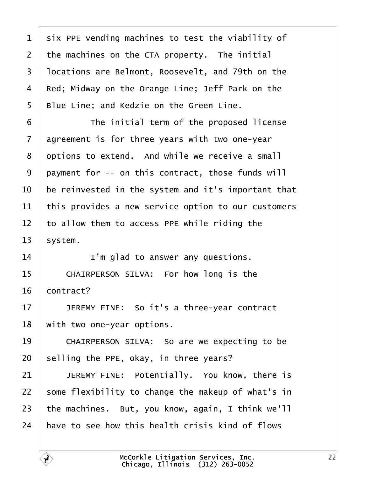<span id="page-21-0"></span>

| 1              | six PPE vending machines to test the viability of   |
|----------------|-----------------------------------------------------|
| $\overline{2}$ | the machines on the CTA property. The initial       |
| 3              | Incations are Belmont, Roosevelt, and 79th on the   |
| 4              | Red; Midway on the Orange Line; Jeff Park on the    |
| 5              | Blue Line; and Kedzie on the Green Line.            |
| 6              | The initial term of the proposed license            |
| $\overline{7}$ | agreement is for three years with two one-year      |
| 8              | dptions to extend. And while we receive a small     |
| 9              | payment for -- on this contract, those funds will   |
| 10             | be reinvested in the system and it's important that |
| 11             | this provides a new service option to our customers |
| 12             | to allow them to access PPE while riding the        |
| 13             | \$ystem.                                            |
| 14             | I'm glad to answer any questions.                   |
| 15             | CHAIRPERSON SILVA: For how long is the              |
| 16             | contract?                                           |
| 17             | JEREMY FINE: So it's a three-year contract          |
| 18             | with two one-year options.                          |
| 19             | CHAIRPERSON SILVA: So are we expecting to be        |
| 20             | selling the PPE, okay, in three years?              |
| 21             | JEREMY FINE: Potentially. You know, there is        |
| 22             | some flexibility to change the makeup of what's in  |
| 23             | the machines. But, you know, again, I think we'll   |
| 24             | have to see how this health crisis kind of flows    |
|                |                                                     |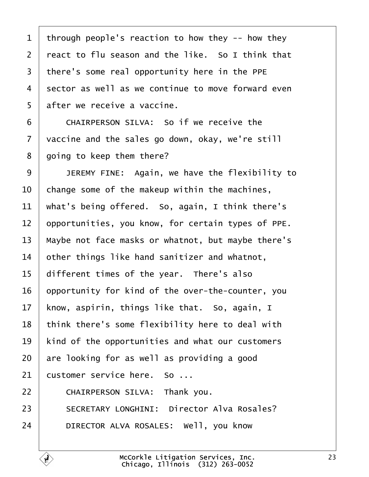<span id="page-22-0"></span>

| 1              | through people's reaction to how they -- how they  |
|----------------|----------------------------------------------------|
| $\overline{2}$ | react to flu season and the like. So I think that  |
| 3              | there's some real opportunity here in the PPE      |
| 4              | sector as well as we continue to move forward even |
| 5              | after we receive a vaccine.                        |
| 6              | CHAIRPERSON SILVA: So if we receive the            |
| 7              | vaccine and the sales go down, okay, we're still   |
| 8              | going to keep them there?                          |
| 9              | JEREMY FINE: Again, we have the flexibility to     |
| 10             | change some of the makeup within the machines,     |
| 11             | what's being offered. So, again, I think there's   |
| 12             | opportunities, you know, for certain types of PPE. |
| 13             | Maybe not face masks or whatnot, but maybe there's |
| 14             | other things like hand sanitizer and whatnot,      |
| 15             | different times of the year. There's also          |
| 16             | opportunity for kind of the over-the-counter, you  |
| 17             | know, aspirin, things like that. So, again, I      |
| 18             | think there's some flexibility here to deal with   |
| 19             | kind of the opportunities and what our customers   |
| 20             | are looking for as well as providing a good        |
| 21             | customer service here. So                          |
| 22             | CHAIRPERSON SILVA: Thank you.                      |
| 23             | <b>SECRETARY LONGHINI: Director Alva Rosales?</b>  |
| 24             | DIRECTOR ALVA ROSALES: Well, you know              |
|                |                                                    |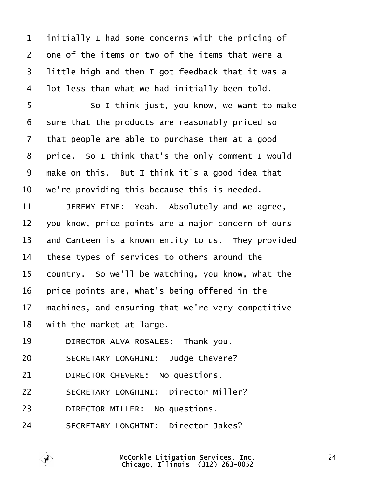<span id="page-23-0"></span>

| $\mathbf{1}$   | initially I had some concerns with the pricing of  |
|----------------|----------------------------------------------------|
| $\overline{2}$ | one of the items or two of the items that were a   |
| 3              | little high and then I got feedback that it was a  |
| 4              | lot less than what we had initially been told.     |
| 5              | So I think just, you know, we want to make         |
| 6              | sure that the products are reasonably priced so    |
| $\overline{7}$ | that people are able to purchase them at a good    |
| 8              | price. So I think that's the only comment I would  |
| 9              | make on this. But I think it's a good idea that    |
| 10             | we're providing this because this is needed.       |
| 11             | JEREMY FINE: Yeah. Absolutely and we agree,        |
| 12             | you know, price points are a major concern of ours |
| 13             | and Canteen is a known entity to us. They provided |
| 14             | these types of services to others around the       |
| 15             | country. So we'll be watching, you know, what the  |
| 16             | price points are, what's being offered in the      |
| 17             | machines, and ensuring that we're very competitive |
| 18             | with the market at large.                          |
| 19             | DIRECTOR ALVA ROSALES: Thank you.                  |
| 20             | <b>SECRETARY LONGHINI: Judge Chevere?</b>          |
| 21             | DIRECTOR CHEVERE: No questions.                    |
| 22             | <b>SECRETARY LONGHINI: Director Miller?</b>        |
| 23             | DIRECTOR MILLER: No questions.                     |
| 24             | <b>SECRETARY LONGHINI: Director Jakes?</b>         |
|                |                                                    |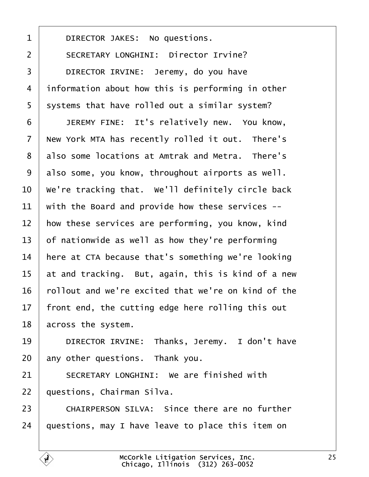<span id="page-24-0"></span>1 | DIRECTOR JAKES: No questions. 2 | SECRETARY LONGHINI: Director Irvine? 3 | DIRECTOR IRVINE: Jeremy, do you have 4 information about how this is performing in other 5 systems that have rolled out a similar system? 6 | JEREMY FINE: It's relatively new. You know, 7 New York MTA has recently rolled it out. There's 8 also some locations at Amtrak and Metra. There's 9 also some, you know, throughout airports as well. 10 We're tracking that. We'll definitely circle back 11 with the Board and provide how these services --12 how these services are performing, you know, kind 13 of nationwide as well as how they're performing 14 here at CTA because that's something we're looking 15 at and tracking. But, again, this is kind of a new 16 rollout and we're excited that we're on kind of the 17 front end, the cutting edge here rolling this out 18 across the system. 19 | DIRECTOR IRVINE: Thanks, Jeremy. I don't have 20 any other questions. Thank you. 21 | SECRETARY LONGHINI: We are finished with 22 questions, Chairman Silva. 23 CHAIRPERSON SILVA: Since there are no further 24 duestions, may I have leave to place this item on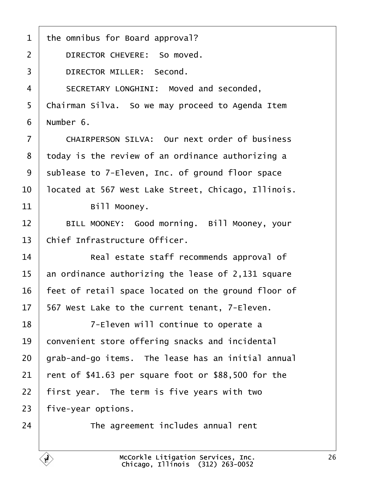<span id="page-25-0"></span>

| 1              | the omnibus for Board approval?                     |
|----------------|-----------------------------------------------------|
| $\overline{2}$ | DIRECTOR CHEVERE: So moved.                         |
| 3              | <b>DIRECTOR MILLER: Second.</b>                     |
| 4              | SECRETARY LONGHINI: Moved and seconded,             |
| 5              | Chairman Silva. So we may proceed to Agenda Item    |
| 6              | Number 6.                                           |
| 7              | CHAIRPERSON SILVA: Our next order of business       |
| 8              | today is the review of an ordinance authorizing a   |
| 9              | sublease to 7-Eleven, Inc. of ground floor space    |
| 10             | located at 567 West Lake Street, Chicago, Illinois. |
| 11             | Bill Mooney.                                        |
| 12             | BILL MOONEY: Good morning. Bill Mooney, your        |
| 13             | Chief Infrastructure Officer.                       |
| 14             | Real estate staff recommends approval of            |
| 15             | an ordinance authorizing the lease of 2,131 square  |
| 16             | feet of retail space located on the ground floor of |
| 17             | 567 West Lake to the current tenant, 7-Eleven.      |
| 18             | 7-Eleven will continue to operate a                 |
| 19             | convenient store offering snacks and incidental     |
| 20             | grab-and-go items. The lease has an initial annual  |
| 21             | fent of \$41.63 per square foot or \$88,500 for the |
| 22             | first year. The term is five years with two         |
| 23             | five-year options.                                  |
| 24             | The agreement includes annual rent                  |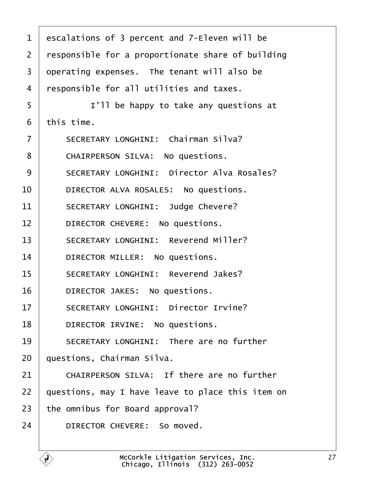<span id="page-26-0"></span>

| 1  | escalations of 3 percent and 7-Eleven will be     |
|----|---------------------------------------------------|
| 2  | responsible for a proportionate share of building |
| 3  | operating expenses. The tenant will also be       |
| 4  | responsible for all utilities and taxes.          |
| 5  | I'll be happy to take any questions at            |
| 6  | this time.                                        |
| 7  | <b>SECRETARY LONGHINI: Chairman Silva?</b>        |
| 8  | CHAIRPERSON SILVA: No questions.                  |
| 9  | <b>SECRETARY LONGHINI: Director Alva Rosales?</b> |
| 10 | DIRECTOR ALVA ROSALES: No questions.              |
| 11 | <b>SECRETARY LONGHINI: Judge Chevere?</b>         |
| 12 | DIRECTOR CHEVERE: No questions.                   |
| 13 | <b>SECRETARY LONGHINI: Reverend Miller?</b>       |
| 14 | DIRECTOR MILLER: No questions.                    |
| 15 | <b>SECRETARY LONGHINI: Reverend Jakes?</b>        |
| 16 | DIRECTOR JAKES: No questions.                     |
| 17 | <b>SECRETARY LONGHINI: Director Irvine?</b>       |
| 18 | DIRECTOR IRVINE: No questions.                    |
| 19 | <b>SECRETARY LONGHINI: There are no further</b>   |
| 20 | questions, Chairman Silva.                        |
| 21 | CHAIRPERSON SILVA: If there are no further        |
| 22 | questions, may I have leave to place this item on |
| 23 | the omnibus for Board approval?                   |
| 24 | DIRECTOR CHEVERE: So moved.                       |
|    |                                                   |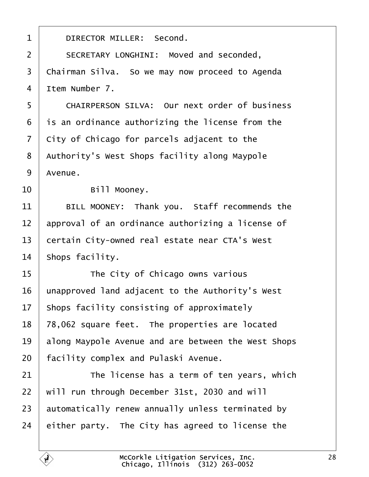<span id="page-27-0"></span>

| 1              | DIRECTOR MILLER: Second.                             |
|----------------|------------------------------------------------------|
| $\overline{2}$ | SECRETARY LONGHINI: Moved and seconded,              |
| 3              | Chairman Silva. So we may now proceed to Agenda      |
| 4              | Item Number 7.                                       |
| 5              | <b>CHAIRPERSON SILVA: Our next order of business</b> |
| 6              | is an ordinance authorizing the license from the     |
| $\overline{7}$ | City of Chicago for parcels adjacent to the          |
| 8              | Authority's West Shops facility along Maypole        |
| 9              | Avenue.                                              |
| 10             | Bill Mooney.                                         |
| 11             | BILL MOONEY: Thank you. Staff recommends the         |
| 12             | approval of an ordinance authorizing a license of    |
| 13             | certain City-owned real estate near CTA's West       |
| 14             | Shops facility.                                      |
| 15             | The City of Chicago owns various                     |
| 16             | unapproved land adjacent to the Authority's West     |
| 17             | Shops facility consisting of approximately           |
| 18             | 78,062 square feet. The properties are located       |
| 19             | along Maypole Avenue and are between the West Shops  |
| 20             | facility complex and Pulaski Avenue.                 |
| 21             | The license has a term of ten years, which           |
| 22             | will run through December 31st, 2030 and will        |
| 23             | automatically renew annually unless terminated by    |
| 24             | either party. The City has agreed to license the     |
|                |                                                      |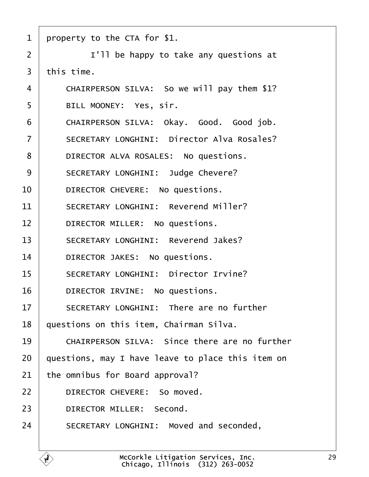<span id="page-28-0"></span>

| 1              | property to the CTA for \$1.                      |
|----------------|---------------------------------------------------|
| $\overline{2}$ | I'll be happy to take any questions at            |
| 3              | this time.                                        |
| 4              | CHAIRPERSON SILVA: So we will pay them \$1?       |
| 5              | BILL MOONEY: Yes, sir.                            |
| 6              | CHAIRPERSON SILVA: Okay. Good. Good job.          |
| $\overline{7}$ | <b>SECRETARY LONGHINI: Director Alva Rosales?</b> |
| 8              | DIRECTOR ALVA ROSALES: No questions.              |
| 9              | <b>SECRETARY LONGHINI: Judge Chevere?</b>         |
| 10             | DIRECTOR CHEVERE: No questions.                   |
| 11             | <b>SECRETARY LONGHINI: Reverend Miller?</b>       |
| 12             | DIRECTOR MILLER: No questions.                    |
| 13             | <b>SECRETARY LONGHINI: Reverend Jakes?</b>        |
| 14             | DIRECTOR JAKES: No questions.                     |
| 15             | <b>SECRETARY LONGHINI: Director Irvine?</b>       |
| 16             | DIRECTOR IRVINE: No questions.                    |
| 17             | <b>SECRETARY LONGHINI: There are no further</b>   |
| 18             | questions on this item, Chairman Silva.           |
| 19             | CHAIRPERSON SILVA: Since there are no further     |
| 20             | questions, may I have leave to place this item on |
| 21             | the omnibus for Board approval?                   |
| 22             | DIRECTOR CHEVERE: So moved.                       |
| 23             | DIRECTOR MILLER: Second.                          |
| 24             | SECRETARY LONGHINI: Moved and seconded,           |
|                |                                                   |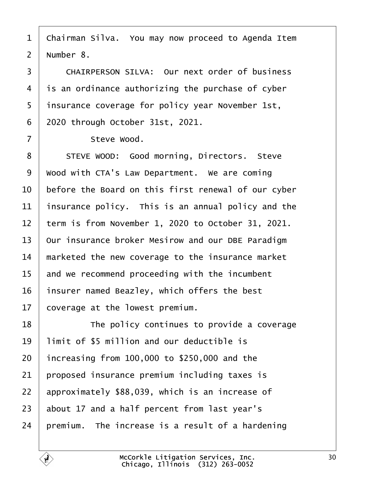<span id="page-29-0"></span>1 Chairman Silva. You may now proceed to Agenda Item

2 Number 8.

3 CHAIRPERSON SILVA: Our next order of business 4 is an ordinance authorizing the purchase of cyber 5 insurance coverage for policy year November 1st, ·6· ·2020 through October 31st, 2021. 7 | Steve Wood. 8 | STEVE WOOD: Good morning, Directors. Steve 9 Wood with CTA's Law Department. We are coming 10 before the Board on this first renewal of our cyber 11 insurance policy. This is an annual policy and the 12 term is from November 1, 2020 to October 31, 2021. 13 Our insurance broker Mesirow and our DBE Paradigm 14 marketed the new coverage to the insurance market 15 and we recommend proceeding with the incumbent 16 insurer named Beazley, which offers the best 17 coverage at the lowest premium. 18 **The policy continues to provide a coverage** 19 limit of \$5 million and our deductible is 20  $\cdot$  increasing from 100,000 to \$250,000 and the 21 **proposed insurance premium including taxes is** 22 approximately \$88,039, which is an increase of 23 about 17 and a half percent from last year's

24 bremium. The increase is a result of a hardening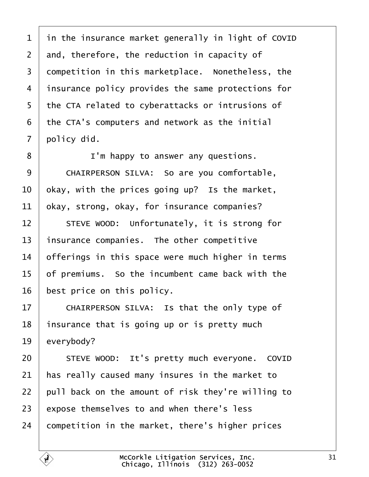<span id="page-30-0"></span>1 in the insurance market generally in light of COVID 2 and, therefore, the reduction in capacity of 3 dompetition in this marketplace. Nonetheless, the 4 insurance policy provides the same protections for 5 the CTA related to cyberattacks or intrusions of ·6· ·the CTA's computers and network as the initial 7 policy did. 8 **I** I'm happy to answer any questions. 9 | CHAIRPERSON SILVA: So are you comfortable, 10 bkay, with the prices going up? Is the market, 11  $\alpha$  bkay, strong, okay, for insurance companies? 12 | STEVE WOOD: Unfortunately, it is strong for 13 insurance companies. The other competitive 14 biferings in this space were much higher in terms 15 of premiums. So the incumbent came back with the 16 best price on this policy. 17 | CHAIRPERSON SILVA: Is that the only type of 18 insurance that is going up or is pretty much 19 everybody? 20 | STEVE WOOD: It's pretty much everyone. COVID 21 has really caused many insures in the market to 22 pull back on the amount of risk they're willing to 23 expose themselves to and when there's less 24 competition in the market, there's higher prices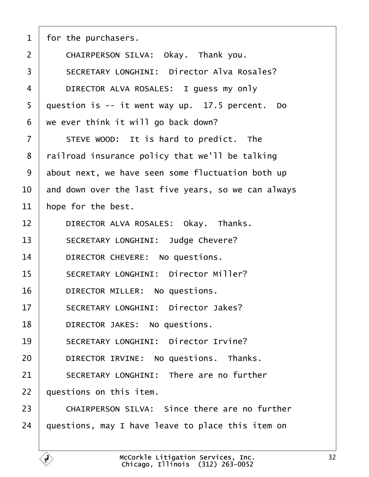<span id="page-31-0"></span>

| 1              | for the purchasers.                                 |
|----------------|-----------------------------------------------------|
| 2              | CHAIRPERSON SILVA: Okay. Thank you.                 |
| 3              | <b>SECRETARY LONGHINI: Director Alva Rosales?</b>   |
| $\overline{4}$ | DIRECTOR ALVA ROSALES: I guess my only              |
| 5              | question is -- it went way up. 17.5 percent. Do     |
| 6              | we ever think it will go back down?                 |
| 7              | STEVE WOOD: It is hard to predict. The              |
| 8              | railroad insurance policy that we'll be talking     |
| 9              | about next, we have seen some fluctuation both up   |
| 10             | and down over the last five years, so we can always |
| 11             | hope for the best.                                  |
| 12             | DIRECTOR ALVA ROSALES: Okay. Thanks.                |
| 13             | <b>SECRETARY LONGHINI: Judge Chevere?</b>           |
| 14             | DIRECTOR CHEVERE: No questions.                     |
| 15             | <b>SECRETARY LONGHINI: Director Miller?</b>         |
| 16             | DIRECTOR MILLER: No questions.                      |
| 17             | <b>SECRETARY LONGHINI: Director Jakes?</b>          |
| 18             | DIRECTOR JAKES: No questions.                       |
| 19             | <b>SECRETARY LONGHINI: Director Irvine?</b>         |
| 20             | DIRECTOR IRVINE: No questions. Thanks.              |
| 21             | <b>SECRETARY LONGHINI: There are no further</b>     |
| 22             | questions on this item.                             |
| 23             | CHAIRPERSON SILVA: Since there are no further       |
| 24             | questions, may I have leave to place this item on   |
|                |                                                     |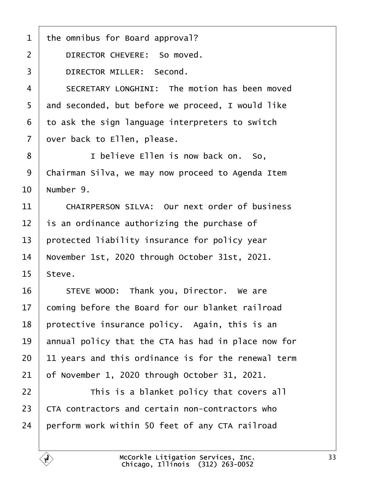<span id="page-32-0"></span>

| 1              | the omnibus for Board approval?                      |
|----------------|------------------------------------------------------|
| $\overline{2}$ | DIRECTOR CHEVERE: So moved.                          |
| 3              | <b>DIRECTOR MILLER: Second.</b>                      |
| 4              | SECRETARY LONGHINI: The motion has been moved        |
| 5              | and seconded, but before we proceed, I would like    |
| 6              | to ask the sign language interpreters to switch      |
| $\overline{7}$ | over back to Ellen, please.                          |
| 8              | I believe Ellen is now back on. So,                  |
| 9              | Chairman Silva, we may now proceed to Agenda Item    |
| 10             | Number 9.                                            |
| 11             | <b>CHAIRPERSON SILVA: Our next order of business</b> |
| 12             | is an ordinance authorizing the purchase of          |
| 13             | protected liability insurance for policy year        |
| 14             | November 1st, 2020 through October 31st, 2021.       |
| 15             | Steve.                                               |
| 16             | STEVE WOOD: Thank you, Director. We are              |
| 17             | coming before the Board for our blanket railroad     |
| 18             | protective insurance policy. Again, this is an       |
| 19             | annual policy that the CTA has had in place now for  |
| 20             | 11 years and this ordinance is for the renewal term  |
| 21             | of November 1, 2020 through October 31, 2021.        |
| 22             | This is a blanket policy that covers all             |
| 23             | CTA contractors and certain non-contractors who      |
| 24             | perform work within 50 feet of any CTA railroad      |
|                |                                                      |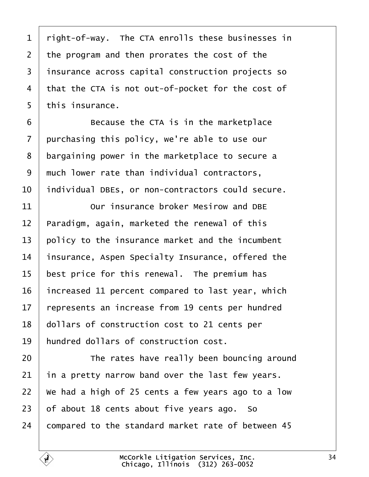<span id="page-33-0"></span>

| 1               | right-of-way. The CTA enrolls these businesses in  |
|-----------------|----------------------------------------------------|
| $\overline{2}$  | the program and then prorates the cost of the      |
| 3               | insurance across capital construction projects so  |
| 4               | that the CTA is not out-of-pocket for the cost of  |
| 5               | this insurance.                                    |
| 6               | Because the CTA is in the marketplace              |
| $\overline{7}$  | purchasing this policy, we're able to use our      |
| 8               | bargaining power in the marketplace to secure a    |
| 9               | much lower rate than individual contractors,       |
| 10              | individual DBEs, or non-contractors could secure.  |
| 11              | Our insurance broker Mesirow and DBE               |
| 12              | Paradigm, again, marketed the renewal of this      |
| 13              | policy to the insurance market and the incumbent   |
| 14              | insurance, Aspen Specialty Insurance, offered the  |
| 15              | best price for this renewal. The premium has       |
| 16              | increased 11 percent compared to last year, which  |
| 17 <sub>1</sub> | represents an increase from 19 cents per hundred   |
| 18              | dollars of construction cost to 21 cents per       |
| 19              | hundred dollars of construction cost.              |
| 20              | The rates have really been bouncing around         |
| 21              | in a pretty narrow band over the last few years.   |
| 22              | We had a high of 25 cents a few years ago to a low |
| 23              | of about 18 cents about five years ago. So         |
| 24              | compared to the standard market rate of between 45 |
|                 |                                                    |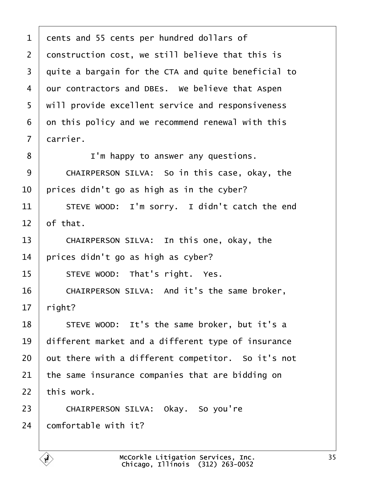<span id="page-34-0"></span>

| 1              | dents and 55 cents per hundred dollars of           |
|----------------|-----------------------------------------------------|
| 2              | donstruction cost, we still believe that this is    |
| 3              | quite a bargain for the CTA and quite beneficial to |
| 4              | dur contractors and DBEs. We believe that Aspen     |
| 5              | will provide excellent service and responsiveness   |
| 6              | on this policy and we recommend renewal with this   |
| $\overline{7}$ | darrier.                                            |
| 8              | I'm happy to answer any questions.                  |
| 9              | CHAIRPERSON SILVA: So in this case, okay, the       |
| 10             | prices didn't go as high as in the cyber?           |
| 11             | STEVE WOOD: I'm sorry. I didn't catch the end       |
| 12             | of that.                                            |
| 13             | CHAIRPERSON SILVA: In this one, okay, the           |
| 14             | prices didn't go as high as cyber?                  |
| 15             | STEVE WOOD: That's right. Yes.                      |
| 16             | CHAIRPERSON SILVA: And it's the same broker,        |
| 17             | right?                                              |
| 18             | STEVE WOOD: It's the same broker, but it's a        |
| 19             | different market and a different type of insurance  |
| 20             | put there with a different competitor. So it's not  |
| 21             | the same insurance companies that are bidding on    |
| 22             | this work.                                          |
| 23             | CHAIRPERSON SILVA: Okay. So you're                  |
| 24             | comfortable with it?                                |
|                |                                                     |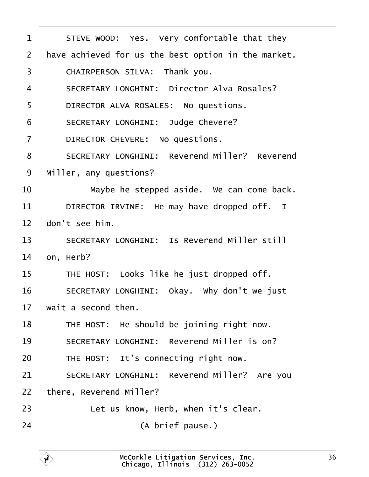<span id="page-35-0"></span>

| 1              | STEVE WOOD: Yes. Very comfortable that they          |
|----------------|------------------------------------------------------|
| $\overline{2}$ | have achieved for us the best option in the market.  |
| 3              | CHAIRPERSON SILVA: Thank you.                        |
| $\overline{4}$ | <b>SECRETARY LONGHINI: Director Alva Rosales?</b>    |
| 5              | DIRECTOR ALVA ROSALES: No questions.                 |
| 6              | <b>SECRETARY LONGHINI: Judge Chevere?</b>            |
| $\overline{7}$ | DIRECTOR CHEVERE: No questions.                      |
| 8              | <b>SECRETARY LONGHINI: Reverend Miller? Reverend</b> |
| 9              | Miller, any questions?                               |
| 10             | Maybe he stepped aside. We can come back.            |
| 11             | DIRECTOR IRVINE: He may have dropped off. I          |
| 12             | don't see him.                                       |
| 13             | <b>SECRETARY LONGHINI: Is Reverend Miller still</b>  |
| 14             | on, Herb?                                            |
| 15             | THE HOST: Looks like he just dropped off.            |
| 16             | SECRETARY LONGHINI: Okay. Why don't we just          |
| 17             | wait a second then.                                  |
| 18             | THE HOST: He should be joining right now.            |
| 19             | <b>SECRETARY LONGHINI: Reverend Miller is on?</b>    |
| 20             | THE HOST: It's connecting right now.                 |
| 21             | SECRETARY LONGHINI: Reverend Miller? Are you         |
| 22             | there, Reverend Miller?                              |
| 23             | Let us know, Herb, when it's clear.                  |
| 24             | (A brief pause.)                                     |
|                |                                                      |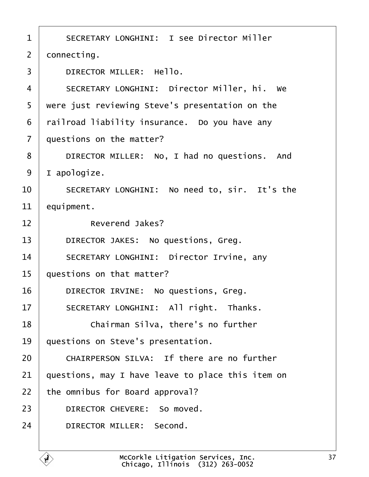- <span id="page-36-0"></span>1 | SECRETARY LONGHINI: I see Director Miller
- 2 donnecting.
- 3 | DIRECTOR MILLER: Hello.
- 4 | SECRETARY LONGHINI: Director Miller, hi. We
- 5 were just reviewing Steve's presentation on the
- 6 railroad liability insurance. Do you have any
- 7 duestions on the matter?
- 8 | DIRECTOR MILLER: No, I had no questions. And
- 9 lapologize.
- 10 | SECRETARY LONGHINI: No need to, sir. It's the
- 11 **equipment.**
- 12 | Reverend Jakes?
- 13 | DIRECTOR JAKES: No questions, Greg.
- 14 | SECRETARY LONGHINI: Director Irvine, any
- 15 guestions on that matter?
- 16 | DIRECTOR IRVINE: No questions, Greg.
- 17 | SECRETARY LONGHINI: All right. Thanks.
- 18 **Chairman Silva, there's no further**
- 19 questions on Steve's presentation.
- 20 CHAIRPERSON SILVA: If there are no further
- 21 guestions, may I have leave to place this item on
- 22 the omnibus for Board approval?
- 23 | DIRECTOR CHEVERE: So moved.
- 24 | DIRECTOR MILLER: Second.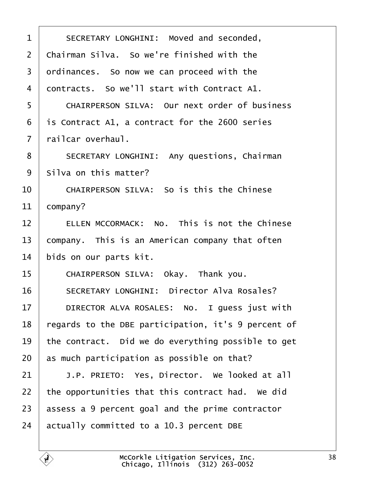<span id="page-37-0"></span>

| 1              | SECRETARY LONGHINI: Moved and seconded,              |
|----------------|------------------------------------------------------|
| $\overline{2}$ | Chairman Silva. So we're finished with the           |
| 3              | drdinances. So now we can proceed with the           |
| 4              | dontracts. So we'll start with Contract A1.          |
| 5              | <b>CHAIRPERSON SILVA: Our next order of business</b> |
| 6              | is Contract A1, a contract for the 2600 series       |
| 7              | railcar overhaul.                                    |
| 8              | <b>SECRETARY LONGHINI: Any questions, Chairman</b>   |
| 9              | Silva on this matter?                                |
| 10             | <b>CHAIRPERSON SILVA: So is this the Chinese</b>     |
| 11             | company?                                             |
| 12             | ELLEN MCCORMACK: No. This is not the Chinese         |
| 13             | company. This is an American company that often      |
| 14             | bids on our parts kit.                               |
| 15             | CHAIRPERSON SILVA: Okay. Thank you.                  |
| 16             | <b>SECRETARY LONGHINI: Director Alva Rosales?</b>    |
| 17             | DIRECTOR ALVA ROSALES: No. I guess just with         |
| 18             | regards to the DBE participation, it's 9 percent of  |
| 19             | the contract. Did we do everything possible to get   |
| 20             | as much participation as possible on that?           |
| 21             | J.P. PRIETO: Yes, Director. We looked at all         |
| 22             | the opportunities that this contract had. We did     |
| 23             | assess a 9 percent goal and the prime contractor     |
| 24             | actually committed to a 10.3 percent DBE             |
|                |                                                      |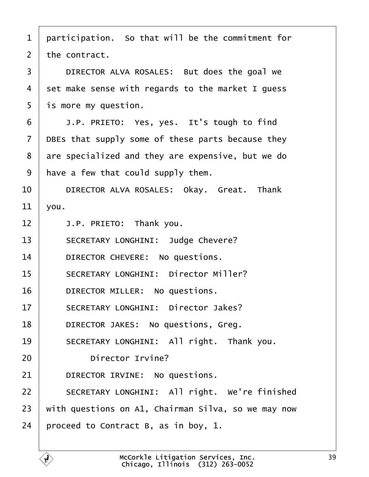<span id="page-38-0"></span>

|  |  | 1 participation. So that will be the commitment for |
|--|--|-----------------------------------------------------|
|--|--|-----------------------------------------------------|

2 the contract.

3 | DIRECTOR ALVA ROSALES: But does the goal we

4 set make sense with regards to the market I guess

- 5 is more my question.
- $6$   $\parallel$  J.P. PRIETO: Yes, yes. It's tough to find
- 7 DBEs that supply some of these parts because they
- 8 are specialized and they are expensive, but we do
- 9 have a few that could supply them.

10 | DIRECTOR ALVA ROSALES: Okay. Great. Thank

- 11  $\sqrt{0}$ u.
- 12  $\parallel$  J.P. PRIETO: Thank you.
- 13 | SECRETARY LONGHINI: Judge Chevere?
- 14 | DIRECTOR CHEVERE: No questions.
- 15 | SECRETARY LONGHINI: Director Miller?
- 16 | DIRECTOR MILLER: No questions.
- 17 | SECRETARY LONGHINI: Director Jakes?
- 18 | DIRECTOR JAKES: No questions, Greg.
- 19 | SECRETARY LONGHINI: All right. Thank you.
- 20 **Director Irvine?**
- 21 | DIRECTOR IRVINE: No questions.
- 22 | SECRETARY LONGHINI: All right. We're finished
- 23 with questions on A1, Chairman Silva, so we may now
- 24 proceed to Contract B, as in boy, 1.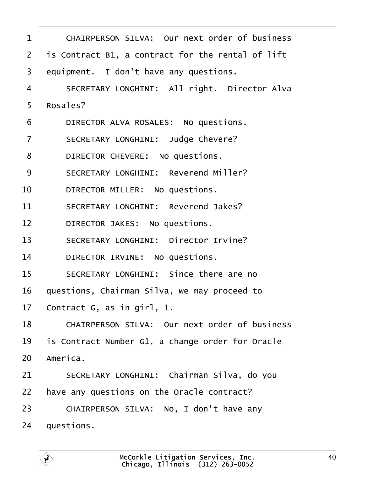<span id="page-39-0"></span>

| 1              | <b>CHAIRPERSON SILVA: Our next order of business</b> |
|----------------|------------------------------------------------------|
| 2              | is Contract B1, a contract for the rental of lift    |
| 3              | equipment. I don't have any questions.               |
| 4              | SECRETARY LONGHINI: All right. Director Alva         |
| 5              | Rosales?                                             |
| 6              | DIRECTOR ALVA ROSALES: No questions.                 |
| $\overline{7}$ | <b>SECRETARY LONGHINI: Judge Chevere?</b>            |
| 8              | DIRECTOR CHEVERE: No questions.                      |
| 9              | <b>SECRETARY LONGHINI: Reverend Miller?</b>          |
| 10             | DIRECTOR MILLER: No questions.                       |
| 11             | <b>SECRETARY LONGHINI: Reverend Jakes?</b>           |
| 12             | DIRECTOR JAKES: No questions.                        |
| 13             | <b>SECRETARY LONGHINI: Director Irvine?</b>          |
| 14             | DIRECTOR IRVINE: No questions.                       |
| 15             | SECRETARY LONGHINI: Since there are no               |
| 16             | questions, Chairman Silva, we may proceed to         |
| 17             | Contract G, as in girl, 1.                           |
| 18             | <b>CHAIRPERSON SILVA: Our next order of business</b> |
| 19             | is Contract Number G1, a change order for Oracle     |
| 20             | America.                                             |
| 21             | SECRETARY LONGHINI: Chairman Silva, do you           |
| 22             | have any questions on the Oracle contract?           |
| 23             | CHAIRPERSON SILVA: No, I don't have any              |
| 24             | questions.                                           |
|                |                                                      |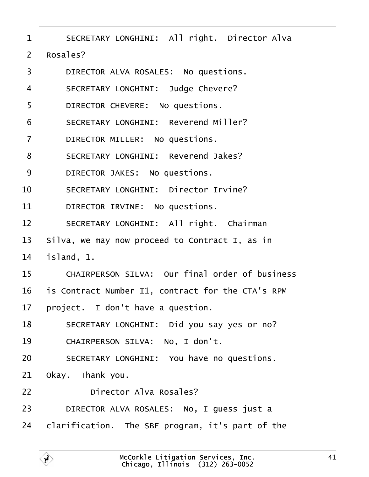<span id="page-40-0"></span>

| 1              | <b>SECRETARY LONGHINI: All right. Director Alva</b> |
|----------------|-----------------------------------------------------|
| $\overline{2}$ | Rosales?                                            |
| 3              | DIRECTOR ALVA ROSALES: No questions.                |
| 4              | <b>SECRETARY LONGHINI: Judge Chevere?</b>           |
| 5              | DIRECTOR CHEVERE: No questions.                     |
| 6              | <b>SECRETARY LONGHINI: Reverend Miller?</b>         |
|                | DIRECTOR MILLER: No questions.                      |

8 | SECRETARY LONGHINI: Reverend Jakes?

9 | DIRECTOR JAKES: No questions.

10 | SECRETARY LONGHINI: Director Irvine?

11 | DIRECTOR IRVINE: No questions.

12 | SECRETARY LONGHINI: All right. Chairman

13 Silva, we may now proceed to Contract I, as in

14 **island**, 1.

15 | CHAIRPERSON SILVA: Our final order of business

16 is Contract Number I1, contract for the CTA's RPM

17 project. I don't have a question.

18 | SECRETARY LONGHINI: Did you say yes or no?

19 | CHAIRPERSON SILVA: No, I don't.

20 | SECRETARY LONGHINI: You have no questions.

21 Okay. Thank you.

22 **Director Alva Rosales?** 

23 | DIRECTOR ALVA ROSALES: No, I guess just a

24 clarification. The SBE program, it's part of the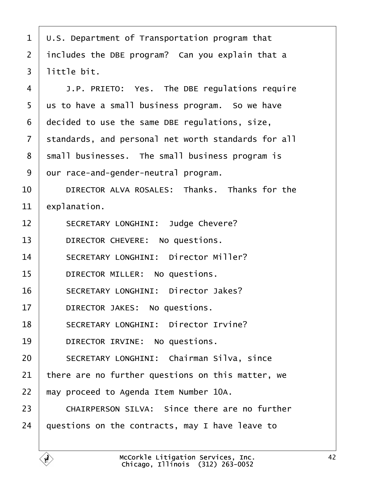- <span id="page-41-0"></span>·1· ·U.S. Department of Transportation program that
- 2 includes the DBE program? Can you explain that a
- 3 little bit.
- 4 | J.P. PRIETO: Yes. The DBE regulations require
- 5 us to have a small business program. So we have
- ·6· ·decided to use the same DBE regulations, size,
- 7 standards, and personal net worth standards for all
- 8 small businesses. The small business program is
- 9 dur race-and-gender-neutral program.
- 10 **DIRECTOR ALVA ROSALES: Thanks. Thanks for the**
- 11 explanation.
- 12 | SECRETARY LONGHINI: Judge Chevere?
- 13 | DIRECTOR CHEVERE: No questions.
- 14 | SECRETARY LONGHINI: Director Miller?
- 15 | DIRECTOR MILLER: No questions.
- 16 | SECRETARY LONGHINI: Director Jakes?
- 17 | DIRECTOR JAKES: No questions.
- 18 | SECRETARY LONGHINI: Director Irvine?
- 19 | DIRECTOR IRVINE: No questions.
- 20 | SECRETARY LONGHINI: Chairman Silva, since
- 21 there are no further questions on this matter, we
- 22 may proceed to Agenda Item Number 10A.
- 23 | CHAIRPERSON SILVA: Since there are no further
- 24 duestions on the contracts, may I have leave to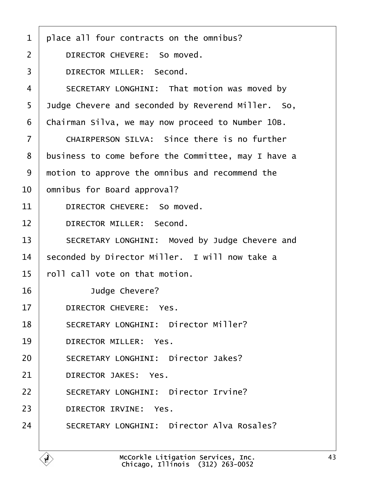- <span id="page-42-0"></span>1 place all four contracts on the omnibus?
- 2 | DIRECTOR CHEVERE: So moved.
- 3 | DIRECTOR MILLER: Second.
- 4 | SECRETARY LONGHINI: That motion was moved by
- 5 Judge Chevere and seconded by Reverend Miller. So,
- 6 Chairman Silva, we may now proceed to Number 10B.
- $7$   $\blacksquare$  CHAIRPERSON SILVA: Since there is no further
- 8 business to come before the Committee, may I have a
- 9 motion to approve the omnibus and recommend the
- 10 <sub>omnibus</sub> for Board approval?
- 11 | DIRECTOR CHEVERE: So moved.
- 12 | DIRECTOR MILLER: Second.
- 13 | SECRETARY LONGHINI: Moved by Judge Chevere and
- 14 seconded by Director Miller. I will now take a
- 15 roll call vote on that motion.
- 16 **Judge Chevere?**
- 17 | DIRECTOR CHEVERE: Yes.
- 18 | SECRETARY LONGHINI: Director Miller?
- 19 | DIRECTOR MILLER: Yes.
- 20 | SECRETARY LONGHINI: Director Jakes?
- 21 | DIRECTOR JAKES: Yes.
- 22 | SECRETARY LONGHINI: Director Irvine?
- 23 | DIRECTOR IRVINE: Yes.
- 24 | SECRETARY LONGHINI: Director Alva Rosales?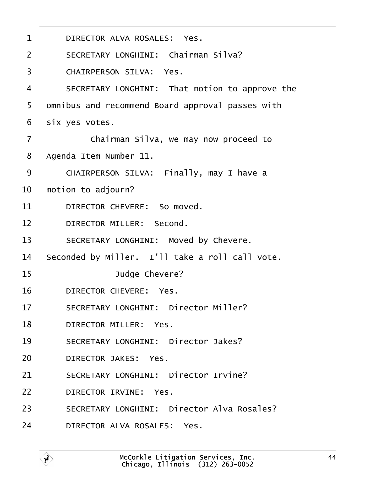<span id="page-43-0"></span>

| 1               | DIRECTOR ALVA ROSALES: Yes.                       |
|-----------------|---------------------------------------------------|
| 2               | <b>SECRETARY LONGHINI: Chairman Silva?</b>        |
| 3               | <b>CHAIRPERSON SILVA: Yes.</b>                    |
| 4               | SECRETARY LONGHINI: That motion to approve the    |
| 5               | dmnibus and recommend Board approval passes with  |
| 6               | six yes votes.                                    |
| $\overline{7}$  | Chairman Silva, we may now proceed to             |
| 8               | Agenda Item Number 11.                            |
| 9               | CHAIRPERSON SILVA: Finally, may I have a          |
| 10              | motion to adjourn?                                |
| 11              | DIRECTOR CHEVERE: So moved.                       |
| 12 <sup>2</sup> | DIRECTOR MILLER: Second.                          |
| 13              | SECRETARY LONGHINI: Moved by Chevere.             |
| 14              | Seconded by Miller. I'll take a roll call vote.   |
| 15              | Judge Chevere?                                    |
| 16              | DIRECTOR CHEVERE: Yes.                            |
| 17              | <b>SECRETARY LONGHINI: Director Miller?</b>       |
| 18              | DIRECTOR MILLER: Yes.                             |
| 19              | <b>SECRETARY LONGHINI: Director Jakes?</b>        |
| 20              | <b>DIRECTOR JAKES: Yes.</b>                       |
| 21              | <b>SECRETARY LONGHINI: Director Irvine?</b>       |
| 22              | <b>DIRECTOR IRVINE: Yes.</b>                      |
| 23              | <b>SECRETARY LONGHINI: Director Alva Rosales?</b> |
| 24              | DIRECTOR ALVA ROSALES: Yes.                       |
|                 |                                                   |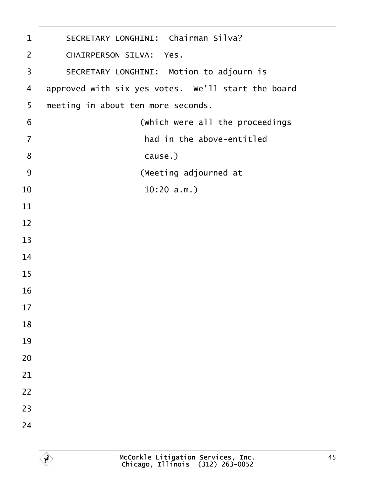<span id="page-44-0"></span>

| $\mathbf 1$              | SECRETARY LONGHINI: Chairman Silva?                |
|--------------------------|----------------------------------------------------|
| $\overline{2}$           | <b>CHAIRPERSON SILVA: Yes.</b>                     |
| $\mathfrak{S}$           | SECRETARY LONGHINI: Motion to adjourn is           |
| $\overline{\mathcal{A}}$ | approved with six yes votes. We'll start the board |
| 5                        | meeting in about ten more seconds.                 |
| $\,6$                    | (Which were all the proceedings                    |
| $\overline{7}$           | had in the above-entitled                          |
| 8                        | cause.)                                            |
| 9                        | (Meeting adjourned at                              |
| 10                       | $10:20$ a.m.)                                      |
| 11                       |                                                    |
| 12                       |                                                    |
| 13                       |                                                    |
| 14                       |                                                    |
| 15                       |                                                    |
| 16                       |                                                    |
| 17                       |                                                    |
| 18                       |                                                    |
| 19                       |                                                    |
| 20                       |                                                    |
| 21                       |                                                    |
| 22                       |                                                    |
| 23                       |                                                    |
| 24                       |                                                    |
|                          |                                                    |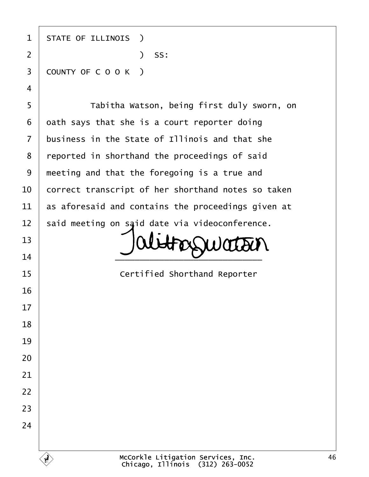| 1                       | <b>STATE OF ILLINOIS</b> )                         |
|-------------------------|----------------------------------------------------|
| $\overline{2}$          | ) SS:                                              |
| 3                       | COUNTY OF COOK)                                    |
| $\overline{\mathbf{4}}$ |                                                    |
| 5                       | Tabitha Watson, being first duly sworn, on         |
| 6                       | dath says that she is a court reporter doing       |
| $\overline{7}$          | business in the State of Illinois and that she     |
| 8                       | reported in shorthand the proceedings of said      |
| 9                       | meeting and that the foregoing is a true and       |
| 10                      | correct transcript of her shorthand notes so taken |
| 11                      | as aforesaid and contains the proceedings given at |
| 12                      | said meeting on said date via videoconference.     |
| 13                      |                                                    |
| 14                      |                                                    |
| 15                      | <b>Certified Shorthand Reporter</b>                |
| 16                      |                                                    |
| 17                      |                                                    |
| 18                      |                                                    |
| 19                      |                                                    |
| 20                      |                                                    |
| 21                      |                                                    |
| 22                      |                                                    |
| 23                      |                                                    |
| 24                      |                                                    |
|                         |                                                    |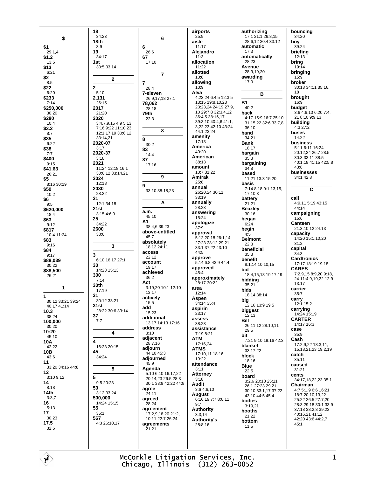|                   | 18                  |                      | airports             | authorizing          | bouncing                 |
|-------------------|---------------------|----------------------|----------------------|----------------------|--------------------------|
|                   | 34:23               |                      | 25:9                 | 17:1 21:1 26:8,15    | 34:20                    |
| \$                | 18th                | 6                    | aisle                | 28:6.12 30:4 33:12   | boy                      |
|                   |                     |                      |                      |                      |                          |
| \$1               | 3:9                 | 6                    | 11:17                | automatic            | 39:24                    |
| 29:1,4            | 19                  | 26:6                 | Alejandro            | 17:3                 | briefing                 |
| \$1.2             | 34:17               | 67                   | 11:3                 | automatically        | 12:13                    |
| 13:5              | 1st                 | 17:10                | allocation           | 28:23                | bring                    |
| \$13              | 30:5 33:14          |                      | 11:22                | Avenue               | 19:14                    |
| 6:21              |                     |                      | allotted             | 28:9,19,20           | bringing                 |
| \$2               |                     | $\overline{7}$       | 10:8                 | awarding             | 15:9                     |
|                   | $\overline{2}$      |                      |                      | 17:9                 |                          |
| 8:5               |                     | $\overline{7}$       | allowing             |                      | broker                   |
| \$22              | $\overline{2}$      | 28:4                 | 10:9                 |                      | 30:13 34:11 35:16,       |
| 6:20              | 5:10                | 7-eleven             | Alva                 | в                    | 18                       |
| \$233             | 2,131               | 26:9,17,18 27:1      | 4:23,24 6:4,5 12:3,5 |                      | brought                  |
| 7:14              | 26:15               | 78,062               | 13:15 19:8,10,23     | <b>B1</b>            | 16:9                     |
| \$250,000         | 2017                | 28:18                | 23:23,24 24:19 27:9, | 40:2                 | budaet                   |
| 30:20             | 21:20               | 79th                 | 10 29:7,8 32:3,4,12  | back                 | 3:6 4:6,10 6:20 7:4,     |
| \$280             | 2020                | 22:3                 | 36:4,5 38:16,17      | 4:17 15:9 16:7 25:10 | 21 8:10 9:9,13           |
| 10:4              |                     |                      | 39:3,10 40:4,6 41:1, | 31:15,22 32:6 33:7,8 | building                 |
|                   | 3:4,7,9,15 4:9 5:13 |                      | 3,22,23 42:10 43:24  | 36:10                | 4:3 27:2                 |
| \$3.2             | 7:16 9:22 11:10,23  | 8                    | 44:1,23,24           |                      |                          |
| 8:7               | 12:1 17:19 30:6,12  |                      | amenity              | band                 | buses                    |
| \$35              | 33:14,21            | 8                    |                      | 34:21                | 14:22                    |
| 6:22              | 2020-07             | 30:2                 | 17:13                | <b>Bank</b>          | business                 |
| \$38              | 3:17                | 83                   | America              | 18:17                | 5:11 6:11 16:24          |
| 7:7               | 2020-37             | 14:4                 | 40:20                | bargain              | 20:12,24 26:7 28:5       |
| \$400             | 3:18                | 87                   | American             | 35:3                 | 30:3 33:11 38:5          |
| 9:15              | 2021                |                      | 38:13                | bargaining           | 40:1.18 41:15 42:5.8     |
|                   | 11:24 12:18 16:1    | 17:16                | amount               | 34:8                 | 43:8                     |
| \$41.63           | 30:6,12 33:14,21    |                      | 10:7 31:22           | based                | businesses               |
| 26:21             |                     | 9                    | Amtrak               | 11:21 13:3 15:20     | 34:1 42:8                |
| \$5               | 2024                |                      | 25:8                 |                      |                          |
| 8:16 30:19        | 12:18               | 9                    | annual               | basis                |                          |
| \$50              | 2030                | 33:10 38:18,23       |                      | 7:14 8:18 9:1,13,15, | C                        |
| 10:2              | 28:22               |                      | 26:20.24 30:11       | 17 10:3              |                          |
| \$6               | 21                  |                      | 33:19                | battery              | call                     |
| 9:5               | 12:1 34:18          | A                    | annually             | 21:21                | 4:9,11 5:19 43:15        |
| \$620,000         | 21st                |                      | 28:23                | <b>Beazley</b>       | 44:14                    |
| 18:4              | 3:154:6.9           | a.m.                 | answering            | 30:16                | campaigning              |
| \$63              | 25                  | 45:10                | 15:24                | began                | 15:6                     |
| 9:12              | 34:22               | A1                   | apologize            | 6:24                 | <b>Canteen</b>           |
|                   | 2600                | 38:4,6 39:23         | 37:9                 | begin                | 21:3,10,12 24:13         |
| \$817             | 38:6                | above-entitled       | approval             | 4:5                  | capacity                 |
| 10:4 11:24        |                     | 45:7                 | 5:12 20:18 26:1,14   | <b>Belmont</b>       | 14:20 15:1,10,20         |
| \$83              |                     | absolutely           | 27:23 28:12 29:21    |                      | 31:2                     |
| 9:16              | 3                   | 18:12 24:11          | 33:1 37:22 43:10     | 22:3                 |                          |
| \$84              |                     | access               | 44:5                 | beneficial           | capital                  |
| 9:17              | 3                   | 22:12                | approve              | 35:3                 | 34:3                     |
| \$88.039          | 6:10 16:17 27:1     | account              | 5:14 6:8 43:9 44:4   | benefit              | <b>Cardtronics</b>       |
| 30:22             | 30                  | 19:17                |                      | 8:1,14 10:10,15      | 17:17 18:19 19:18        |
| \$88,500          | 14:23 15:13         | achieved             | approved<br>45:4     | bid                  | <b>CARES</b>             |
| 26:21             | 300                 |                      |                      | 18:4,15,18 19:17,19  | 7:2,9,15 8:9,20 9:18,    |
|                   | 7:14                | 36:2                 | approximately        | bidding              | 24 11:4,9,19,22 12:9     |
|                   | 30th                | Act                  | 28:17 30:22          | 35:21                | 13:17                    |
| 1                 | 17:19               | 3:19,20 10:1 12:10   | area                 | bids                 | carrier                  |
| 1                 | 31                  | 13:17                | 12:14                | 18:14 38:14          | 35:7                     |
|                   | 30:12 33:21         | actively             | Aspen                | biq                  | carry                    |
| 30:12 33:21 39:24 | 31st                | 15:5                 | 34:14 35:4           | 12:16 13:9 19:5      | 12:1 15:2                |
| 40:17 41:14       |                     | add                  | aspirin              |                      | carrying                 |
| 10.3              | 28:22 30:6 33:14    | 15:23                | 23:17                | biggest              | 14:24 15:19              |
| 38:24             | 37                  | additional           | assess               | 12:13<br>Bill        | <b>CARTER</b>            |
| 100,000           | 7:7                 | 13:17 14:13 17:16    | 38:23                |                      | 14:17 16:3               |
| 30:20             |                     | address              | assistance           | 26:11,12 28:10,11    | case                     |
| 10:20             | 4                   | 3:10                 | 7:19 8:21            | 29:5                 | 35:9                     |
| 45:10             |                     | adjacent             | ATM                  | bit                  | Cash                     |
| 10A               | 4                   | 28:7,16              | 17:16,24             | 7:21 9:10 19:16 42:3 |                          |
| 42:22             | 16:23 20:15         | adjourn              | ATMS                 | blanket              | 17:2,9,22 18:3,11,       |
| 10B               | 45                  | 44:10 45:3           | 17:10,11 18:16       | 33:17,22             | 15, 18, 21, 23 19: 2, 19 |
| 43:6              | 34:24               | adjourned            | 19:22                | block                | catch                    |
| 11                |                     | 45:9                 |                      | 18:16                | 35:11                    |
| 33:20 34:16 44:8  | 5                   |                      | attendance           | Blue                 | caused                   |
| 12                |                     | Agenda               | 3:11                 | 22:5                 | 31:21                    |
| 3:10 9:12         | 5                   | 5:10 6:10 16:17,22   | Attorney             | board                | cents                    |
| 14                | 9:5 20:23           | 20:14,23 26:5 28:3   | 3:18                 | 3:2,6 20:18 25:11    | 34:17,18,22,23 35:1      |
|                   |                     | 30:1 33:9 42:22 44:8 | Audit                | 26:1 27:23 29:21     | Chairman                 |
| 8:18              | 50                  | agree                | 3:6 4:6,10           | 30:10 33:1,17 37:22  | 4:7 5:1,9 6:6 16:21      |
| 14th              | 3:12 33:24          | 24:11                | August               | 43:10 44:5 45:4      | 18:7 20:10,13,22         |
| 3:3,7             | 500,000             | agreed               | 6:16,19 7:7 8:6,11   | bodies               | 25:22 26:5 27:7,20       |
| 16                | 14:24 15:15         | 28:24                | 9:7                  | 3:19,21              | 28:3 29:18 30:1 33:9     |
| 5:13              | 55                  | agreement            | Authority            |                      | 37:18 38:2,8 39:23       |
| 17                | 35:1                | 17:2,9,18,20 21:2,   | 3:3,14               | booths               | 40:16,21 41:12           |
| 30:23             | 567                 | 10,11 22:7 26:24     | <b>Authority's</b>   | 21:22                | 42:20 43:6 44:2,7        |
| 17.5              | 4:3 26:10,17        | agreements           | 28:8,16              | bottom               | 45:1                     |
| 32:5              |                     | 21:21                |                      | 11:5                 |                          |
|                   |                     |                      |                      |                      |                          |
|                   |                     |                      |                      |                      |                          |
|                   |                     |                      |                      |                      |                          |
|                   |                     |                      |                      |                      |                          |
|                   |                     |                      |                      |                      |                          |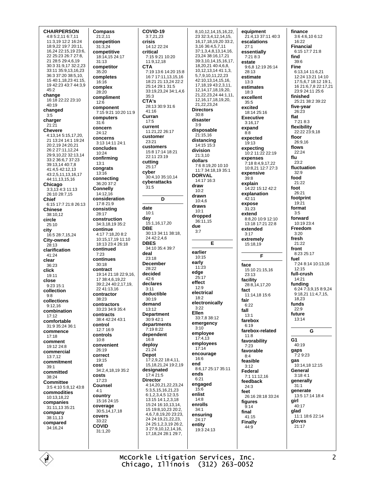**CHAIRPERSON** 4:8 5:2,11 6:7,11 11:3.19 12:2 16:24 18:9,22 19:7 20:11, 16,24 22:15,19 23:6, 22 25:23 26:7 27:8. 21 28:5 29:4.6.19 30:3 31:9 17 32:2 23 33:11 35:9,13,16,23 36:3.37:20.38:5.10 15 40:1 18 23 41:15 19 42:23 43:7 44:3.9  $45:2$ change 16:18 22:22 23:10  $40.19$ changed  $3.5$ charger  $21:21$ **Chevere**  $4:13,145:15,17,20$ 21 13:24 14:1 19:24 20:2 19 24:20 21 26:2 27:11,12,24 29:9 10:22:32:13:14  $33.2366737.23$ 39:13 14 40:7 8 41:4,5 42:12,13 43:2.5.11.13.16.17 44:11,13,15,16 Chicago  $3:3,1\overline{3}4:311:13$ 26:10 28:7,15 **Chief** 6:15 17:7 21:8 26:13 **Chinese** 38:10.12 circle  $25:10$ city  $16:528:7.15.24$ **City-owned**  $28:13$ clarification  $41.24$ clear 36:23 click 19:11 close 9:23 15:1 collection  $9:8$ collections  $9:12.16$ combination  $17.12$ comfortable 31:9 35:24 36:1 commence  $17.18$ comment 19:12 24:8 commercial  $13.712$ commitment  $39:1$ committed  $38.24$ **Committee** 3:5 4:10 5:8,12 43:8 commodities 10:13,18,22 companies 31:11,13 35:21 company 38:11,13 compared  $34:16.24$ 

**Compass**  $21:2.11$ competition  $31:3.24$ competitive 18:14.15 24:17  $31.13$ competitor  $35.20$ completes  $16.16$ complex  $28:20$ compliment  $12.6$ component 7:15 9:21 10:20 11:9 computers  $31:6$ concern  $24.12$ concerns 3:13 14:11 24:1 concludes  $10:24$ confirming  $13:1$ congrats  $13:16$ connecting 36:20 37:2 Connellv 14:12,16 consideration 17:8 21:9 consistina  $28.17$ construction 34:3,18,19 35:2 continue 4:17 7:18.20 8:2 10:15 17 19 11:10 18:13 23:4 26:18 continued  $7.23$ continues  $30:18$ contract 19:14 21:18 22:9 16 17 38:4.6.19.22 39:2,24 40:2,17,19, 22 41:13.16 contractor  $38.23$ contractors  $33.23.349.354$ contracts 38:4 42:24 43:1 control 12:7 16:9 controls  $10:8$ convenient  $26.19$ correct  $10.15$ cost 34:2,4,18,19 35:2 costs  $17:23$ Counsel  $4.1$ country 15:16 24:15 coverage  $30:5,14,17,18$ covers 33:22 COVID 31:1.20

COVID-19  $3:7.21.23$ crisis 14:12 22:24 critical 7:15 9:21 10:20 11:9,12,18 **CTA** 7:19 13:6 14:20 15:8 16:7 17:11,13,15,16 18:21 21:13 24 22:2 25:14.29:1.31:5 33:19.23.24 34:1.4.6  $35.3$ CTA's 28:13 30:9 31:6  $41:16$ Curran  $17:5$ current 11:21.22 26:17 customer  $23.21$ customers 15:8 17:14 18:21  $22.1123.19$ cutting 25:17 cyber 30:4,10 35:10,14 cyberattacks  $31:5$ D date  $10:1$ **day**<br>15:1,16,17,20 **DRF** 30:13 34:11 38:18, 24 42:2,4,6 **DRES**  $34.10.35.4.39.7$ deal 23:18 **December** 28:22 decided  $42 - 6$ declares  $3:11$ deductible  $30:19$ demand  $13.12$ **Department**  $30:942:1$ departments 7:19 8:22 dependent  $16.8$ deploy  $21.24$ **Depot** 17:2.9.22 18:4.11. 15.18.21.24 19:2.19 designated 17:4 21:5 **Director** 4:14,20,21,22,23,24 5:3.5.15.16.21.23 6:1,2,3,4,5 12:3,5  $13.15$   $14.1$  2 3 18 15:24 16:10 13 14 15 19 8 10 23 20 2 4,6,7,8,19,20 23:23, 24 24:19.21.22.23. 24 25:1,2,3,19 26:2, 3 27:9,10,12,14,16, 17, 18, 24 28: 1 29: 7,

8.10.12.14.15.16.22. 23 32:3,4,12,14,15, 16.17.18.19.20 33:2. 3,16 36:4,5,7,11 37:1,3,4,8,13,14,16, 23,24 38:16,17,21 39:3,10,14,15,16,17, 18 20 21 40 4 6 8 10, 12, 13, 14 41: 1, 3, 57910112223 42:10.13.14,15,16, 17 18 19 43 2 3 11 12, 14, 17, 18, 19, 20, 21.22.23.24 44:1.11. 12, 16, 17, 18, 19, 20, 21,22,23,24 **Directors**  $30.8$ disaster  $3.9$ disposable  $21:15.16$ distancing  $14.15, 15.3$ division  $21:310$ dollars 7:6 8:19,20 10:10 11:7 34:18,19 35:1 **DORVAL**  $14.1716.3$ draw  $10:2$ drawn  $10.46$ draws  $10.1$ dropped 36:11,15 due  $3.7$ Е earlier 10:15 early  $11:23$ edge  $25:17$ effect  $12:9$ electrical  $18:2$ electronically  $3.22$ Ellen 33:7,8 38:12 emergency  $3:10$ employee  $17:4,13$ employees  $17:14$ encourage  $16.6$ end 8:6,17 25:17 35:11 ends  $6:21$ engaged  $15:6$ enlist  $14:8$ enrolls  $34.1$ ensuring  $24:17$ entity  $19:324:13$ 

equipment 21:4,13 37:11 40:3 escalations  $27.1$ essentially 7:21 8:3 estate 9:6,8 12:19 26:14  $28.13$ estimate  $13.3$ estimates  $18:3$ excellent  $35.5$ excited 18:14 25:16 **Executive**  $3:16,17$ expand  $R - R$ expected 19:13 expecting<br>10:2 11:22 22:19 expenses 7:18 8:4.9.17.22 10:8,21 12:7 27:3 expensive  $39.8$ explain 14:22 15:12 42:2 explanation  $42:11$ expose  $31:23$ extend 8:8.20 10:9 12:10 13:18 17:21 22:8 extended  $3.17$ extremely 15:18,19 F face 15:10 21:15.16 23:13 facility 28:8,14,17,20 fact 11:14,18 15:6 fair  $6:22$ fall  $13:1$ farehox  $6.19$ farebox-related  $11:8$ favorability  $7.23$ favorable  $8.4$ feasible  $3:12$ Federal  $7.11111216$ feedback  $24.3$ feet 26:16 28:18 33:24 figures  $9:14$ final  $41:15$ **Finally** 44:9

finance 3:6 4:6,10 6:12 16:22 **Financial** 6:15 17:7 21:8 find  $39.6$ **Fine**  $6:13,14$  11:6,21 12:24 13:21 14:10 17:5.6.7 18:12 19:1. 16 21 6 7 8 22 17 21 23:9 24:11 25:6 finished 25:21 38:2 39:22 five-year  $26.23$ flat  $7.218.3$ flexibility 22:22 23:9.18 floor  $26.916$ flows  $22.24$ flu  $23.2$ fluctuation  $32.9$ food 21:22 foot 26:21 footprint  $19.21$ format  $3:5$ forward 10:19 23:4 Freedom  $3.20$ fresh  $21:22$ front  $8:23.25:17$ fuel 7:24 8:14 10:13.16  $12:15$ full-crush  $14.21$ funding<br>6:24 7:3,9,15 8:9,24  $9:18,21\ 11:4,7,15,$ 18.23 funds  $22:9$ future 13:14 G  $G<sub>1</sub>$ 40:19 gaps  $7:29:23$ gas 10:14.18 12:15 General  $3:184:1$ generally  $31.1$ generate 13:5 17:14 18:4 girl 40:17 glad  $11:1$  18:6 22:14 gloves  $21.17$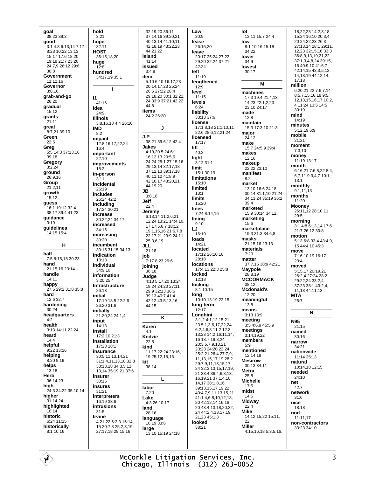qoal 38:23 39:3 good  $3:14:86:13147:17$ 8:23 10:22 13:13 15:17 17:6 18:20 19:18 21:7 23:20 24:7.9 26:12 29:6  $30:8$ Government 11:12.16 Governor  $3:8.16$ grab-and-go  $26:20$ gradual  $15:12$ grants  $21.11$ great 8:7,21 39:10 Green  $22.5$ Greg<br>5:5 14:3 37:13,16 39:18 Gregory  $3:2,24$ ground  $26.916$ Group  $21:2,11$ growth  $15:12$ guess 16:1 19:12 32:4 38:17 39:4 41:23 guidance  $3.19$ guidelines 14:15 15:4  $\mathbf{H}$ half 7:5 8:15.18 30:23 hand 21:15,16 23:14 handle  $14.11$ happy 27:5 29:2 31:8 35:8 hard 12:6 32:7 hardening 30:24 headquarters  $4:2$ health 3:13 14:11 22:24 heard  $14.4$ helpful  $9.2213.16$ helping 8:20 9:19 helps  $13:18$ Herb  $36:14.23$ high 24:3 34:22 35:10,14 higher  $31:14,24$ highlighted  $10:14$ historic 6:24 11:15 historically  $8:110:16$ 

hold  $3:21$ hope  $32.11$ HOST 36:15.18.20 huge  $12:8$ hundred 34:17 19 35:1  $\mathbf{I}$  $\mathbf{I}$  $41.16$ idea 24:9 **Illinois** 3:8,16,18 4:4 26:10 **IMD**  $8:2$ impact 12:8,16,17,22,24  $16.4$ important  $22:10$ improvements  $18:2$ in-person  $3.11$ incidental 26:19 includes 26:24 42:2 including 17:24 30:21 increase 30:22,24 34:17 increased  $34.16$ increasing  $30.20$ incumbent 30:15 31:15 34:13 indication  $13.13$ individual  $34.910$ information  $3.20.254$ **Infrastructure**  $26.13$ initial 17:19 18:5 22:2,6 26:20 31:6 initially 21:20,24 24:1,4 input  $14:13$ install 17:2,10 21:3 installation 17:23 18:1 insurance 30:5,11,13,14,21 31:1,4,11,13,18 32:8 33:13.18 34:3.5.11. 13.14 35:19.21 37:6 insurer  $30.16$ insures 31:21 interpreters  $16.19336$ intrusions  $31:5$ Irvine 4:21,22 6:2,3 16:14, 15 20 7 8 25 2 3 19 27:17,18 29:15,16

32:19.20 36:11 37:14,16 39:20,21 40:13.14 41:10.11 42:18,19 43:22,23 44:21,22 island  $41.14$ issued  $3:4.8$ item 5:10 6:10 16:17.23 20:14 17 23 25:24 26:5 27:22 28:4 29:18.20.30:1.32:22 24 33:9 37:21 42:22  $44.8$ items 24:2 26:20  $\mathbf{I}$  $J.P.$ 38:21.39:6.12.42:4 Jakes 4:19.20 5:24 6:1 16:12,13 20:5,6 24:24 25:1 27:15 16 29:13.14 32:17.18 37:12,13 39:17,18 40:11,12 41:8,9 42:16,17 43:20,21 44:19,20 **JB**  $3:8.16$ **Joff**  $22.4$ Jeremy 6:13,14 11:2,6,21 12:24 13:21 14:4,10, 17 17:5,6,7 18:12 19:1 15:16 21:6 7 8 22:17,21 23:9 24:11 25:3,6,19 JH.  $21.18$ job 7:17 8:23 29:6 joining  $36.18$ Judge 4:13 5:17,20 13:24 19:24 24:20 27:11 29:9 32:13 36:6 39:13 40:7 41:4 42:12 43:5,13,16 44:15 K Karen  $4.1$ Kedzie  $22:5$ kind 11:17 22:24 23:16, 19 25:12.15.16 kit 38:14  $\mathbf{L}$ labor  $7.20$ Lake 4:3 26:10.17 land 28:16 language 16:19 33:6 large

Law  $30:9$ lease  $26:15.20$ leave 20:17 25:24 27:22 29:20 32:24 37:21 42:24 left  $11:19$ lengthened  $12:9$ level  $11:15$ levels  $6:24$ liability 33:13 37:6 license 17:1,8,18 21:1,10,11 22:6 28:6,12,21,24 licensed  $17.17$ lift  $40:2$ light  $3.12.311$ limit 15:1 30:19 **limitations** 15:10 limited  $18.1$ limits 15:20 lines 7:24 8:14.16 lining  $9:10$ LJ 16:19 loads  $14.21$ Incated 17:12 26:10,16 28:18 **locations** 17:4,13 22:3 25:8 locked  $12:18$ locking 8:1 10:15 lona 10:10 13:19 22:15 long-term  $12:17$ Longhini 3:1,2 4:1,12,15,21, 23 5:1.3.6.17.22.24 6:2.4.6.8 11:2 12:3 13:23 14:2 16:11 14 16 18 7 19 8 24 20:3,5,7,9,13,21 23.23.24.20.22.24 25:2.21 26:4 27:7.9. 11, 13, 15, 17, 19 28: 2 29:7,9,11,13,15,17, 24 32:3,13,15,17,19, 21 33:4 36:4,6,8,13, 16, 19, 21 37: 1, 4, 10, 14, 17 38:1, 8, 16 39:13,15,17,19,22 40:4,7,9,11,13,15,21 41:1,4,6,8,10,12,18, 20 42:12,14,16,18, 20 43:4,13,18,20,22, 24 44:2.4.13.17.19. 21.23 45:1.3 looked  $38.21$ 

lot 13:11 15:7 24:4 low 8:1 10:16 15:18  $34.22$ lower  $34.9$ lowest  $30.17$ M machines 17:3 19:4 21:4.13. 14 23 22 1 2 23  $23.1024.17$ made  $12:8$ maintain 15:3 17:3.10 21:3 major  $24:12$ make 15:7 24:5,9 39:4 makes  $12.16$ makeup 22:22 23:10 manifest  $8:2$ market 13:10 16:6 24:18 30:14 31:1,10,21,24 34:13,24 35:19 36:2  $20.4$ marketed 15:9 30:14 34:12 marketing  $15.6$ marketplace  $19.3.31.3.34.6.8$ masks 21:15.16 23:13 materials  $7:20$ matter 37:7,15 38:9 42:21 **Maypole** 28:8.19 **MCCORMACK** 38:12 Mcdonald's  $12:20$ meaningful  $13.8$ means 3:13 13:9 meeting  $3.54694559$ meetings  $3:14,19,22$ members  $5.9$ mentioned 12:14,19 **Mesirow** 30:13 34:11 **Metra**  $25.8$ **Michelle**  $17:5$ midst  $14:6$ Midway  $22.4$ **Mike** 14:12,15,22 15:11, 22 **Miller** 4:15,16,18 5:3,5,16,

18.22.23 14:2.3.18 15:24 16:10 20:3.4. 20 24:22.23 26:3 27:13,14 28:1 29:11, 12,23 32:15,16 33:3 36:8,9,13,19,21,22 37:1,3,4,8,24 39:15, 16 40 9 10 41 6 7 42:14,15 43:3,5.12. 14 18 19 44 12 14 17 18 million 6:20,21,22 7:6,7,14 8:5,7,15,16,189:5, 12, 13, 15, 16, 17 10:2, 4 11:24 13:5 14:5  $30:19$ mind  $14.19$ minutes 5:12,196:9 mobile  $21:21$ moment  $7:3,10$ money 11:19 13:17 month 6:16.21 7:6.8.22 8:4. 6.7.11 9:3,4,7 10:1  $13.1$ monthly  $9:1,11,13$ months  $11:20$ Mooney 26:11,12 28:10.11  $29.5$ morning 3:1 4:8 6:13,14 17:6  $21.726.1230.8$ motion 5:13 6:8 33:4 43:4.9. 15 44:4,10 45:3 move 7:16 10:19 16:17  $23.4$ moved 5:15.17 20:19.21 26.2 4 27.24 28.2 29:22.24.33:2.4 37:23 38:1 43:2,4, 11 13 44 11 13 **MTA**  $25.7$  $\mathbf{N}$ **N95**  $21:15$ named  $30:16$ narrow  $34.21$ nationwide  $11.1425.13$ natural 10:14,18 12:15 needed  $24:10$ net  $42.7$ network  $31:6$ nice  $18.18$ nod 11:11.17 non-contractors 33:23 34:10

McCorkle Litigation Services, Inc. Chicago, Illinois (312) 263-0052

13:10 15:19 24:18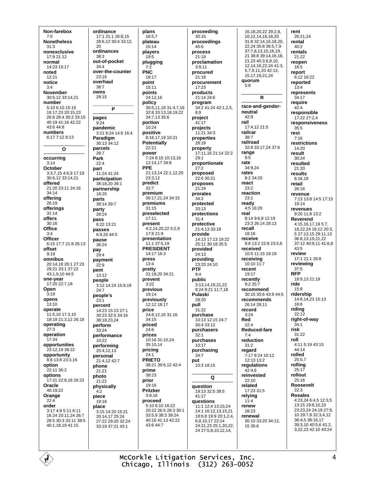Non-farebox  $7:5$ **Nonetheless**  $31.3$ nonexclusive  $17.921.12$ normal 14:23 15:17 noted  $12.21$ notice  $3:4$ **November** 30:5,12 33:14,21 number 5:10 6:10 15:19 16:17 23 20:15 23 26:6 28:4 30:2 33:10 40:19 41:16 42:22 43:6 44:8 numbers 6:17 7:12 8:13  $\Omega$ occurring  $3.14$ October 3:3,7,15 4:6,9 17:19 30:6,12 33:14,21 offered 21:20 23:11 24:16  $34.14$ offering 26:19 offerings  $31:14$ offers  $30.16$ Office  $3.4$ Officer 6:15 17:7 21:8 26:13 offset  $9:19$ omnibus 20:14,18 26:1 27:23 29:21 33:1 37:22 43:1.9.10 44:5 one-vear  $17.2022.718$ Open  $3:19$ opens  $13:10$ operate 11:5,10 17:3,10 18:19 21:3.12 26:18 operating  $27:3$ operation  $17.24$ opportunities 23:12,19 38:22 opportunity 8:8 13:8 23:3 16 option 22:11 36:2 options 17:21 22:8,18 26:23 Oracle 40:19.22 Orange  $22:4$ order 3:17 4:9 5:11 6:11 16:24 20:11.24 26:7  $28:530:33:1138:5$ 40:1.18.19 41:15

ordinance 17:1 21:1 26:8,15 28:6.12 30:4 33:12.  $20$ ordinances  $38.3$ out-of-pocket  $34:4$ over-the-counter  $23.16$ overhaul  $38:7$ owns 28:15  $\overline{P}$ pages  $9.24$ pandemic 3:21 6:24 14:6 16:4 Paradigm  $30:13\,34:12$ parcels  $28.7$ Park  $22.1$ part 11:24 41:24 participation 38:18.20.39:1 partnership  $18:20$ parts 38:14 39:7 party  $28:24$ pass 6:22.13:21 passes 6:9.20 44:5 pause 36:24 pav  $29:4$ payment  $22.9$ nent 13:12 neonle 3:12 14:24 15:9 19  $24.7$ people's  $23:1$ percent 14:23 15:13 27:1 30:23 32:5 34:16 38:18.23.24 perform  $33.24$ performance 10:22 performing 25:4.12.13 personal 21:4,12 42:7 phone  $21:21$ photo 21:22 physically  $4:2$ piece  $19.18$ place 3:15 14:20 15:21 20:14,17 25:24 27:22 29:20 32:24 33:19 37:21 43:1

plans 16:5.7 plateau  $15.14$ players  $19.5$ plugging  $7:2$ **PNC**  $18.17$ point 15:11 points 24:12.16 policy 30:5, 11, 18 31:4, 7, 16 32:8 33:13.18.19.22 34:7.13 35:6 portion 10:24 positive 8:16 17 19 10:21 **Potentially**  $22:21$ power 7:24 8:15 10:13.16 12:14 17 34:8 **PPF** 21:13.14 22:1.12.20  $23:312$ predict  $32:7$ premium 30:17,21,24 34:15 premiums  $31:15$ preselected  $17.11$ present 4:2,14,20,22 5:2.9 17:8 21:9 presentation 11:1 37:5.19 **PRESIDENT**  $14.1716.3$ press  $13:4$ pretty 31:18.20 34:21 prevent  $3:22$ previous  $19.14$ previously 12:12 18:17 price 24:8,12,16 31:16 34:15 priced  $24:6$ prices 10:16 31:10.24 35:10,14 pricing  $24:1$ **PRIFTO**  $38:21$  39:6.12 42:4 prime 38:23 prior 19:16 Pritzker  $3:8,16$ proceed 5:10 6:10 16:22 20:22 26:5 28:3 30:1 33:5,9 38:3 39:24 40:16 41:13 42:22 43:6 44:7

proceeding  $30:15$ proceedings  $45.6$ process  $21.19$ proclamation  $3:9,11$ procured  $21.18$ procurement 17:23 products 21:14 24:6 program 34:2 41:24 42:1,2,5,  $RQ$ project  $41:17$ projects 11:21 34:3 properties  $28:18$ property 17:11.16 21:14 22:2  $29.1$ proportionate  $27:2$ proposed  $22.630.21$ proposes  $21:24$ prorates  $34:2$ protected  $33:13$ protections  $31.4$ protective 21:4,13 33:18 provide 14:13 17:13 19:22 25:11 30:18 35:5 provided 24:13 providing 23:20 24:10 PTF  $9.4$ public 3:13,14,19,21,22 8:24 9:21 11:7.18 Pulaski  $28.20$ pull  $31.22$ purchase 10:13 12:15 24:7 30:4 33:12 purchasers  $32.1$ purchases  $10:17$ purchasing  $34.7$ put 10:3 18:15 Q question 19:13 32:5 39:5  $41:17$ questions 11:1 12:4 13:23 24 14:1 16:12,13,15,21 18:6.8 19:9 20:1.2.4 6.8.10.17 22:14 24:21,23 25:1,20,22, 24 27:5,8,10,12,14,

16.18.20.22 29:2.8. 10,12,14,16,18,20 31:8 32:14,16,18,20, 22,24 35:8 36:5,7,9 37:7,8,13,15,16,19, 21 38:8 39:14,16,18, 21,23 40:3,6,8,10, 12 14 16 22 24 41 3 5,7,9,11,20 42:13, 15 17 19 21 24 quorum  $5.8$  $\mathsf{R}$ race-and-genderneutral  $42.9$ rail 17:4,12 21:5 railcar 38:7 railroad 32:8 33:17.24 37:6 range  $9:5$ rate 34:9.24 rates  $8.234.20$ react  $23:2$ reaction  $23.1$ ready 4:5 16:20 real  $8:149:6.812:19$ 23:3 26:14 28:13 recall  $18.16$ receive 9:8 13:2 22:8 23:5,6 received 10:5 11:15 19:19 receiving  $10:10.11:7$ recent  $19.17$ recently  $9:225:7$ recommend 30:15 35:6 43:9 44:5 recommends 26:14 28:11 record  $3:24$ Red  $22:4$ Reduced-fare  $7.4$ reduction  $31:2$ regard 7:17 8:24 10:12  $12.1313.2$ regulations  $42:4,6$ reinvested  $22:10$ related  $17:23.31:5$ relying  $11:4$ renew  $28:23$ renewal 30:10 33:20 34:12, 15 35:6

rent 26:21,24 rental  $40.2$ rentals  $21.22$ reopen 16:5 report  $6.1216.22$ reported  $13:4$ represents  $34:17$ require  $42:4$ responsible 17:22 27:2.4 responsiveness  $35:5$ rest  $7:16$ restrictions  $14:20$ result  $30.24$ resulted  $21:20$ results  $6.1619$ retail  $26.16$ revenue 7:13 13:8 14:5 17:15 19:14 revenues  $9.2011.813.2$ Reverend 4:15,16,17,19 5:7, 18,22,24 16:12 20:3, 5 27:13,15 29:11,13 36:8,13,19,21,22 37:12 40:9.11 41:6.8  $43.5$ review 17:1 21:1 26:8 reviewing  $37:5$ **RFP** 18:9 13 21:19 ride  $15.8$ ridership 14:8,14,23 15:13  $16:6$ riding  $22.12$ right-of-way  $34:1$ risk 31:22 roll 4:11 5:19 43:15  $44.14$ rolled 25:5.7 rolling  $25.17$ rollout  $25.16$ Roosevelt  $22.3$ **Rosales** 4:23,24 6:4,5 12:3,5 13:15 19:8,10,23 23:23,24 24:19 27:9, 10 29:7.8 32:3.4.12 36:4,5 38:16,17 39:3,10 40:5,6 41:2, 3 22 23 42 10 43 24

McCorkle Litigation Services, Inc. Chicago, Illinois (312) 263-0052